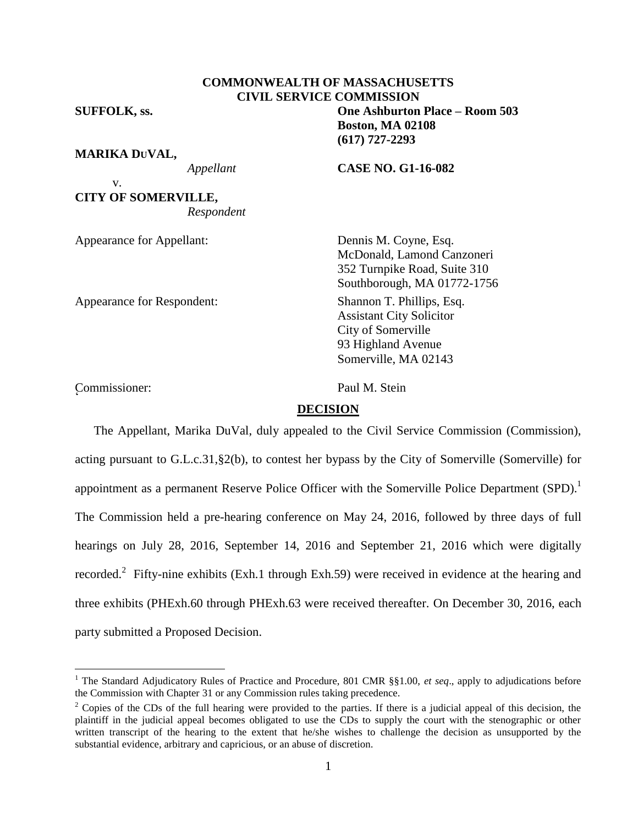## **COMMONWEALTH OF MASSACHUSETTS CIVIL SERVICE COMMISSION**

## **MARIKA DUVAL,**

v. **CITY OF SOMERVILLE,** *Respondent*

Appearance for Appellant: Dennis M. Coyne, Esq.

Appearance for Respondent: Shannon T. Phillips, Esq.

McDonald, Lamond Canzoneri 352 Turnpike Road, Suite 310 Southborough, MA 01772-1756 Assistant City Solicitor City of Somerville 93 Highland Avenue Somerville, MA 02143

Commissioner: Paul M. Stein r<br>C

 $\overline{a}$ 

#### **DECISION**

The Appellant, Marika DuVal, duly appealed to the Civil Service Commission (Commission), acting pursuant to G.L.c.31,§2(b), to contest her bypass by the City of Somerville (Somerville) for appointment as a permanent Reserve Police Officer with the Somerville Police Department  $(SPD)$ .<sup>1</sup> The Commission held a pre-hearing conference on May 24, 2016, followed by three days of full hearings on July 28, 2016, September 14, 2016 and September 21, 2016 which were digitally recorded.<sup>2</sup> Fifty-nine exhibits (Exh.1 through Exh.59) were received in evidence at the hearing and three exhibits (PHExh.60 through PHExh.63 were received thereafter. On December 30, 2016, each party submitted a Proposed Decision.

**SUFFOLK, ss. One Ashburton Place – Room 503 Boston, MA 02108**

**(617) 727-2293**

*Appellant* **CASE NO. G1-16-082**

<sup>&</sup>lt;sup>1</sup> The Standard Adjudicatory Rules of Practice and Procedure, 801 CMR  $\S$ §1.00, *et seq.*, apply to adjudications before the Commission with Chapter 31 or any Commission rules taking precedence.

<sup>&</sup>lt;sup>2</sup> Copies of the CDs of the full hearing were provided to the parties. If there is a judicial appeal of this decision, the plaintiff in the judicial appeal becomes obligated to use the CDs to supply the court with the stenographic or other written transcript of the hearing to the extent that he/she wishes to challenge the decision as unsupported by the substantial evidence, arbitrary and capricious, or an abuse of discretion.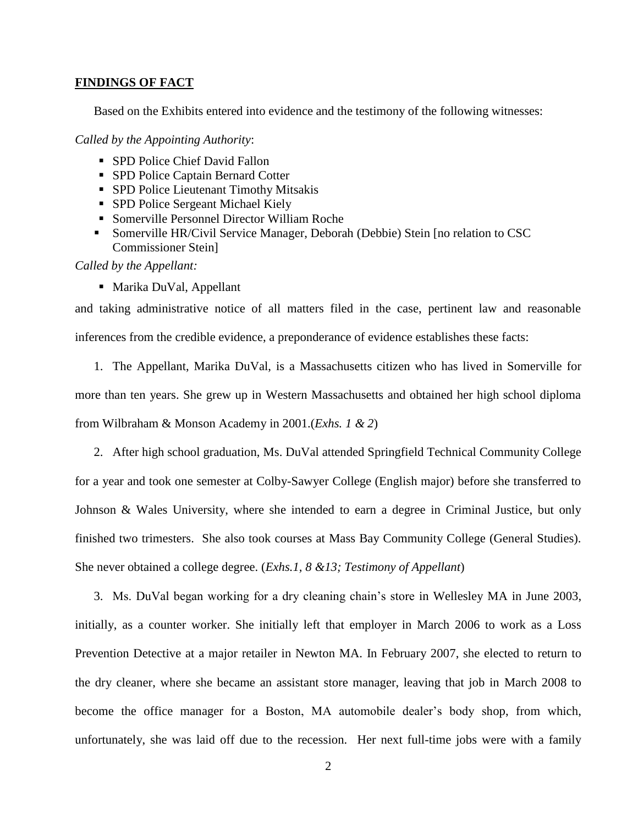#### **FINDINGS OF FACT**

Based on the Exhibits entered into evidence and the testimony of the following witnesses:

*Called by the Appointing Authority*:

- SPD Police Chief David Fallon
- SPD Police Captain Bernard Cotter
- **SPD Police Lieutenant Timothy Mitsakis**
- **SPD Police Sergeant Michael Kiely**
- Somerville Personnel Director William Roche
- Somerville HR/Civil Service Manager, Deborah (Debbie) Stein [no relation to CSC Commissioner Stein]

*Called by the Appellant:*

■ Marika DuVal, Appellant

and taking administrative notice of all matters filed in the case, pertinent law and reasonable inferences from the credible evidence, a preponderance of evidence establishes these facts:

1. The Appellant, Marika DuVal, is a Massachusetts citizen who has lived in Somerville for more than ten years. She grew up in Western Massachusetts and obtained her high school diploma from Wilbraham & Monson Academy in 2001.(*Exhs. 1 & 2*)

2. After high school graduation, Ms. DuVal attended Springfield Technical Community College for a year and took one semester at Colby-Sawyer College (English major) before she transferred to Johnson & Wales University, where she intended to earn a degree in Criminal Justice, but only finished two trimesters. She also took courses at Mass Bay Community College (General Studies). She never obtained a college degree. (*Exhs.1, 8 &13; Testimony of Appellant*)

3. Ms. DuVal began working for a dry cleaning chain's store in Wellesley MA in June 2003, initially, as a counter worker. She initially left that employer in March 2006 to work as a Loss Prevention Detective at a major retailer in Newton MA. In February 2007, she elected to return to the dry cleaner, where she became an assistant store manager, leaving that job in March 2008 to become the office manager for a Boston, MA automobile dealer's body shop, from which, unfortunately, she was laid off due to the recession. Her next full-time jobs were with a family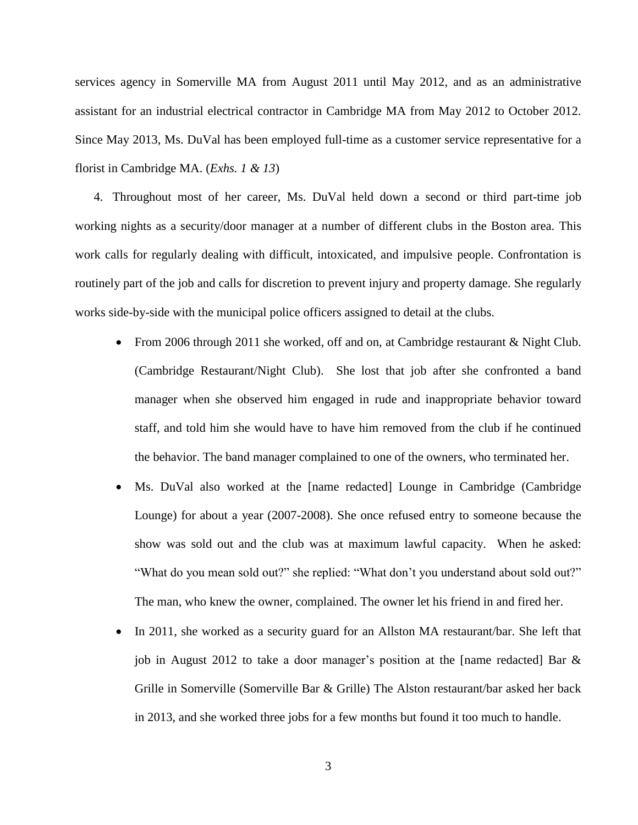services agency in Somerville MA from August 2011 until May 2012, and as an administrative assistant for an industrial electrical contractor in Cambridge MA from May 2012 to October 2012. Since May 2013, Ms. DuVal has been employed full-time as a customer service representative for a florist in Cambridge MA. (*Exhs. 1 & 13*)

4. Throughout most of her career, Ms. DuVal held down a second or third part-time job working nights as a security/door manager at a number of different clubs in the Boston area. This work calls for regularly dealing with difficult, intoxicated, and impulsive people. Confrontation is routinely part of the job and calls for discretion to prevent injury and property damage. She regularly works side-by-side with the municipal police officers assigned to detail at the clubs.

- From 2006 through 2011 she worked, off and on, at Cambridge restaurant & Night Club. (Cambridge Restaurant/Night Club). She lost that job after she confronted a band manager when she observed him engaged in rude and inappropriate behavior toward staff, and told him she would have to have him removed from the club if he continued the behavior. The band manager complained to one of the owners, who terminated her.
- Ms. DuVal also worked at the [name redacted] Lounge in Cambridge (Cambridge Lounge) for about a year (2007-2008). She once refused entry to someone because the show was sold out and the club was at maximum lawful capacity. When he asked: "What do you mean sold out?" she replied: "What don't you understand about sold out?" The man, who knew the owner, complained. The owner let his friend in and fired her.
- In 2011, she worked as a security guard for an Allston MA restaurant/bar. She left that job in August 2012 to take a door manager's position at the [name redacted] Bar & Grille in Somerville (Somerville Bar & Grille) The Alston restaurant/bar asked her back in 2013, and she worked three jobs for a few months but found it too much to handle.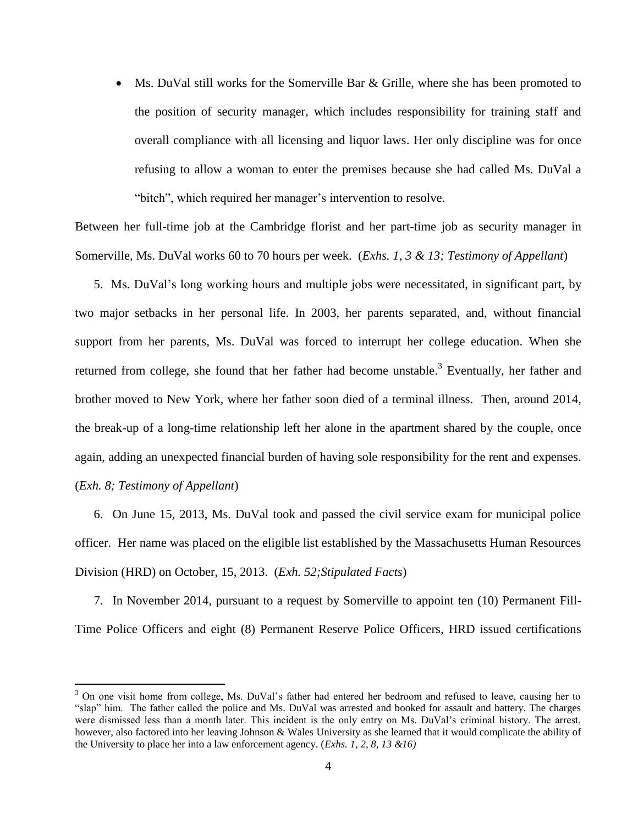• Ms. DuVal still works for the Somerville Bar  $\&$  Grille, where she has been promoted to the position of security manager, which includes responsibility for training staff and overall compliance with all licensing and liquor laws. Her only discipline was for once refusing to allow a woman to enter the premises because she had called Ms. DuVal a "bitch", which required her manager's intervention to resolve.

Between her full-time job at the Cambridge florist and her part-time job as security manager in Somerville, Ms. DuVal works 60 to 70 hours per week. (*Exhs. 1, 3 & 13; Testimony of Appellant*)

5. Ms. DuVal's long working hours and multiple jobs were necessitated, in significant part, by two major setbacks in her personal life. In 2003, her parents separated, and, without financial support from her parents, Ms. DuVal was forced to interrupt her college education. When she returned from college, she found that her father had become unstable.<sup>3</sup> Eventually, her father and brother moved to New York, where her father soon died of a terminal illness. Then, around 2014, the break-up of a long-time relationship left her alone in the apartment shared by the couple, once again, adding an unexpected financial burden of having sole responsibility for the rent and expenses. (*Exh. 8; Testimony of Appellant*)

6. On June 15, 2013, Ms. DuVal took and passed the civil service exam for municipal police officer. Her name was placed on the eligible list established by the Massachusetts Human Resources Division (HRD) on October, 15, 2013. (*Exh. 52;Stipulated Facts*)

7. In November 2014, pursuant to a request by Somerville to appoint ten (10) Permanent Fill-Time Police Officers and eight (8) Permanent Reserve Police Officers, HRD issued certifications

<sup>&</sup>lt;sup>3</sup> On one visit home from college, Ms. DuVal's father had entered her bedroom and refused to leave, causing her to "slap" him. The father called the police and Ms. DuVal was arrested and booked for assault and battery. The charges were dismissed less than a month later. This incident is the only entry on Ms. DuVal's criminal history. The arrest, however, also factored into her leaving Johnson & Wales University as she learned that it would complicate the ability of the University to place her into a law enforcement agency. (*Exhs. 1, 2, 8, 13 &16)*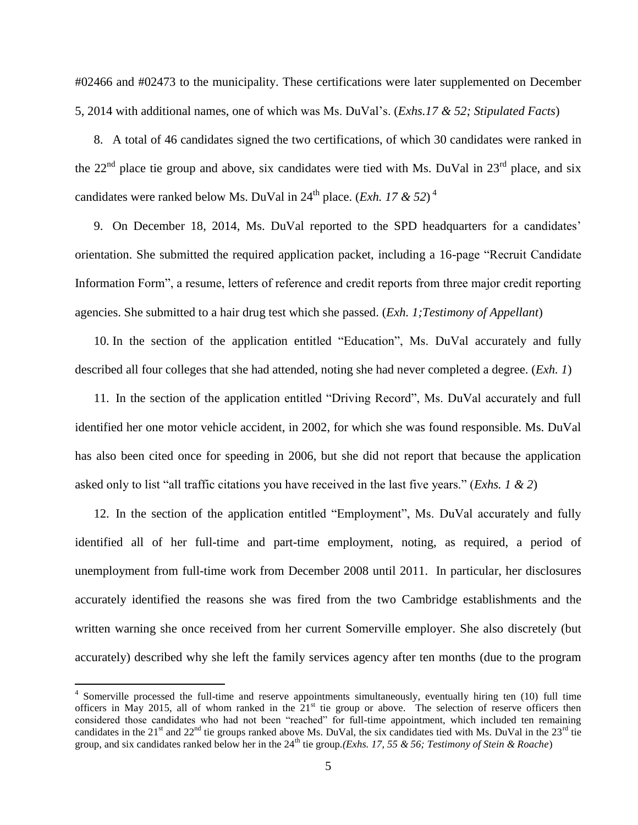#02466 and #02473 to the municipality. These certifications were later supplemented on December 5, 2014 with additional names, one of which was Ms. DuVal's. (*Exhs.17 & 52; Stipulated Facts*)

8. A total of 46 candidates signed the two certifications, of which 30 candidates were ranked in the  $22<sup>nd</sup>$  place tie group and above, six candidates were tied with Ms. DuVal in  $23<sup>rd</sup>$  place, and six candidates were ranked below Ms. DuVal in  $24^{th}$  place. (*Exh. 17 & 52*)<sup>4</sup>

9. On December 18, 2014, Ms. DuVal reported to the SPD headquarters for a candidates' orientation. She submitted the required application packet, including a 16-page "Recruit Candidate Information Form", a resume, letters of reference and credit reports from three major credit reporting agencies. She submitted to a hair drug test which she passed. (*Exh. 1;Testimony of Appellant*)

10. In the section of the application entitled "Education", Ms. DuVal accurately and fully described all four colleges that she had attended, noting she had never completed a degree. (*Exh. 1*)

11. In the section of the application entitled "Driving Record", Ms. DuVal accurately and full identified her one motor vehicle accident, in 2002, for which she was found responsible. Ms. DuVal has also been cited once for speeding in 2006, but she did not report that because the application asked only to list "all traffic citations you have received in the last five years." (*Exhs. 1 & 2*)

12. In the section of the application entitled "Employment", Ms. DuVal accurately and fully identified all of her full-time and part-time employment, noting, as required, a period of unemployment from full-time work from December 2008 until 2011. In particular, her disclosures accurately identified the reasons she was fired from the two Cambridge establishments and the written warning she once received from her current Somerville employer. She also discretely (but accurately) described why she left the family services agency after ten months (due to the program

 4 Somerville processed the full-time and reserve appointments simultaneously, eventually hiring ten (10) full time officers in May 2015, all of whom ranked in the  $21<sup>st</sup>$  tie group or above. The selection of reserve officers then considered those candidates who had not been "reached" for full-time appointment, which included ten remaining candidates in the 21<sup>st</sup> and 22<sup>nd</sup> tie groups ranked above Ms. DuVal, the six candidates tied with Ms. DuVal in the 23<sup>rd</sup> tie group, and six candidates ranked below her in the  $24<sup>th</sup>$  tie group.(*Exhs. 17, 55 & 56; Testimony of Stein & Roache*)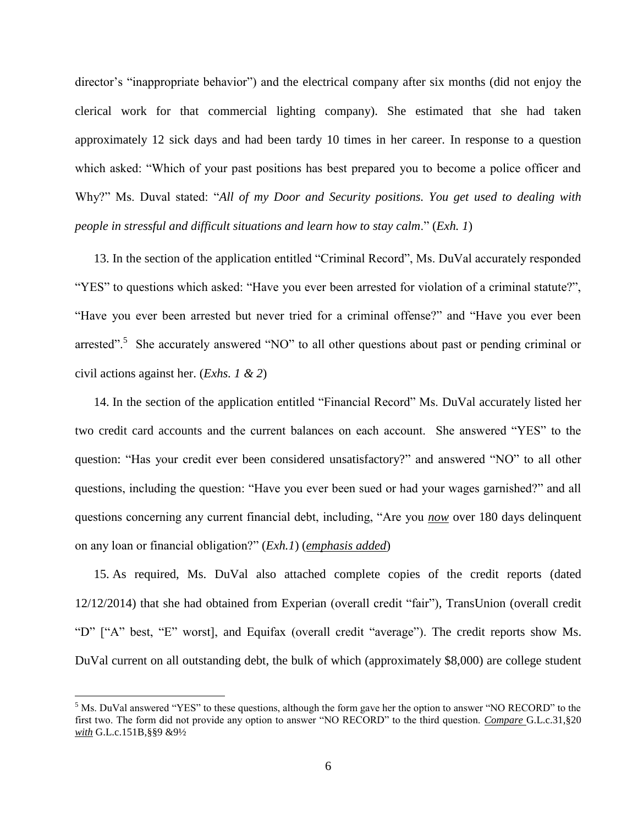director's "inappropriate behavior") and the electrical company after six months (did not enjoy the clerical work for that commercial lighting company). She estimated that she had taken approximately 12 sick days and had been tardy 10 times in her career. In response to a question which asked: "Which of your past positions has best prepared you to become a police officer and Why?" Ms. Duval stated: "*All of my Door and Security positions. You get used to dealing with people in stressful and difficult situations and learn how to stay calm*." (*Exh. 1*)

13. In the section of the application entitled "Criminal Record", Ms. DuVal accurately responded "YES" to questions which asked: "Have you ever been arrested for violation of a criminal statute?", "Have you ever been arrested but never tried for a criminal offense?" and "Have you ever been arrested".<sup>5</sup> She accurately answered "NO" to all other questions about past or pending criminal or civil actions against her. (*Exhs. 1 & 2*)

14. In the section of the application entitled "Financial Record" Ms. DuVal accurately listed her two credit card accounts and the current balances on each account. She answered "YES" to the question: "Has your credit ever been considered unsatisfactory?" and answered "NO" to all other questions, including the question: "Have you ever been sued or had your wages garnished?" and all questions concerning any current financial debt, including, "Are you *now* over 180 days delinquent on any loan or financial obligation?" (*Exh.1*) (*emphasis added*)

15. As required, Ms. DuVal also attached complete copies of the credit reports (dated 12/12/2014) that she had obtained from Experian (overall credit "fair"), TransUnion (overall credit "D" ["A" best, "E" worst], and Equifax (overall credit "average"). The credit reports show Ms. DuVal current on all outstanding debt, the bulk of which (approximately \$8,000) are college student

<sup>&</sup>lt;sup>5</sup> Ms. DuVal answered "YES" to these questions, although the form gave her the option to answer "NO RECORD" to the first two. The form did not provide any option to answer "NO RECORD" to the third question. *Compare* G.L.c.31,§20 *with* G.L.c.151B,§§9 &9½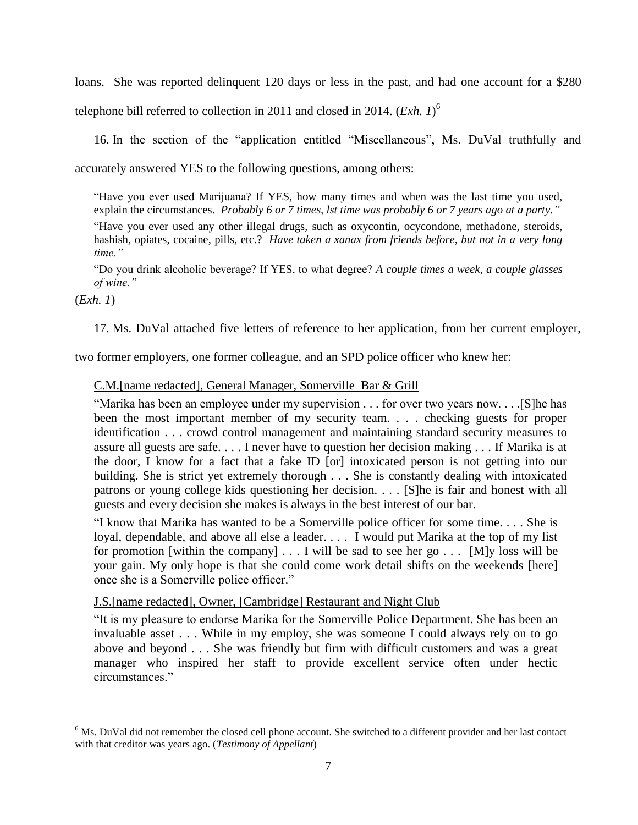loans. She was reported delinquent 120 days or less in the past, and had one account for a \$280 telephone bill referred to collection in 2011 and closed in 2014. (*Exh. 1*) 6

16. In the section of the "application entitled "Miscellaneous", Ms. DuVal truthfully and accurately answered YES to the following questions, among others:

"Have you ever used Marijuana? If YES, how many times and when was the last time you used, explain the circumstances. *Probably 6 or 7 times, lst time was probably 6 or 7 years ago at a party."* "Have you ever used any other illegal drugs, such as oxycontin, ocycondone, methadone, steroids, hashish, opiates, cocaine, pills, etc.? *Have taken a xanax from friends before, but not in a very long time."*

"Do you drink alcoholic beverage? If YES, to what degree? *A couple times a week, a couple glasses of wine."*

(*Exh. 1*)

 $\overline{a}$ 

17. Ms. DuVal attached five letters of reference to her application, from her current employer,

two former employers, one former colleague, and an SPD police officer who knew her:

## C.M.[name redacted], General Manager, Somerville Bar & Grill

"Marika has been an employee under my supervision . . . for over two years now. . . .[S]he has been the most important member of my security team. . . . checking guests for proper identification . . . crowd control management and maintaining standard security measures to assure all guests are safe. . . . I never have to question her decision making . . . If Marika is at the door, I know for a fact that a fake ID [or] intoxicated person is not getting into our building. She is strict yet extremely thorough . . . She is constantly dealing with intoxicated patrons or young college kids questioning her decision. . . . [S]he is fair and honest with all guests and every decision she makes is always in the best interest of our bar.

"I know that Marika has wanted to be a Somerville police officer for some time. . . . She is loyal, dependable, and above all else a leader. . . . I would put Marika at the top of my list for promotion [within the company]  $\dots$  I will be sad to see her go  $\dots$  [M]y loss will be your gain. My only hope is that she could come work detail shifts on the weekends [here] once she is a Somerville police officer."

## J.S.[name redacted], Owner, [Cambridge] Restaurant and Night Club

"It is my pleasure to endorse Marika for the Somerville Police Department. She has been an invaluable asset . . . While in my employ, she was someone I could always rely on to go above and beyond . . . She was friendly but firm with difficult customers and was a great manager who inspired her staff to provide excellent service often under hectic circumstances."

<sup>&</sup>lt;sup>6</sup> Ms. DuVal did not remember the closed cell phone account. She switched to a different provider and her last contact with that creditor was years ago. (*Testimony of Appellant*)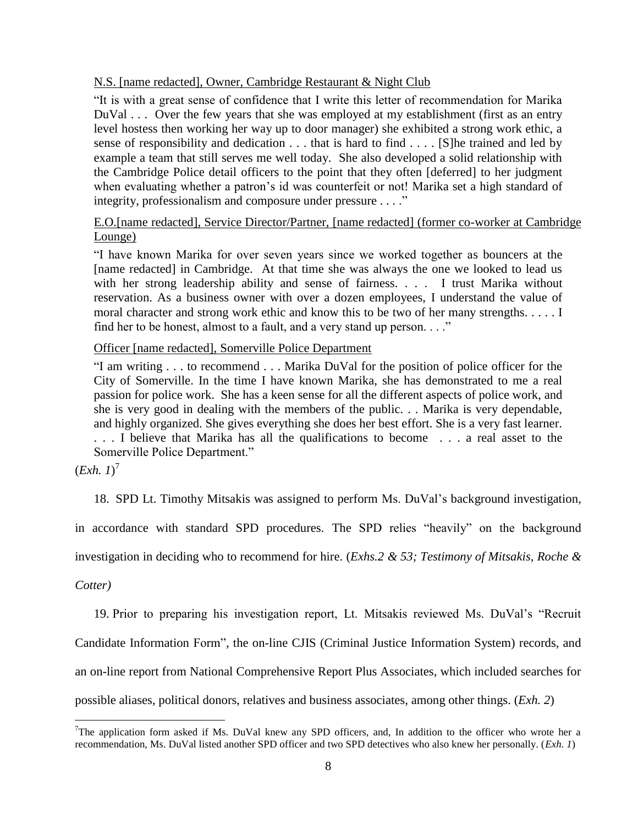#### N.S. [name redacted], Owner, Cambridge Restaurant & Night Club

"It is with a great sense of confidence that I write this letter of recommendation for Marika DuVal . . . Over the few years that she was employed at my establishment (first as an entry level hostess then working her way up to door manager) she exhibited a strong work ethic, a sense of responsibility and dedication . . . that is hard to find . . . . [S]he trained and led by example a team that still serves me well today. She also developed a solid relationship with the Cambridge Police detail officers to the point that they often [deferred] to her judgment when evaluating whether a patron's id was counterfeit or not! Marika set a high standard of integrity, professionalism and composure under pressure . . . ."

## E.O.[name redacted], Service Director/Partner, [name redacted] (former co-worker at Cambridge Lounge)

"I have known Marika for over seven years since we worked together as bouncers at the [name redacted] in Cambridge. At that time she was always the one we looked to lead us with her strong leadership ability and sense of fairness. . . . I trust Marika without reservation. As a business owner with over a dozen employees, I understand the value of moral character and strong work ethic and know this to be two of her many strengths. . . . . I find her to be honest, almost to a fault, and a very stand up person. . . ."

## Officer [name redacted], Somerville Police Department

"I am writing . . . to recommend . . . Marika DuVal for the position of police officer for the City of Somerville. In the time I have known Marika, she has demonstrated to me a real passion for police work. She has a keen sense for all the different aspects of police work, and she is very good in dealing with the members of the public. . . Marika is very dependable, and highly organized. She gives everything she does her best effort. She is a very fast learner. . . . I believe that Marika has all the qualifications to become . . . a real asset to the Somerville Police Department."

 $(Exh. 1)<sup>7</sup>$ 

18. SPD Lt. Timothy Mitsakis was assigned to perform Ms. DuVal's background investigation,

in accordance with standard SPD procedures. The SPD relies "heavily" on the background

investigation in deciding who to recommend for hire. (*Exhs.2 & 53; Testimony of Mitsakis, Roche &* 

*Cotter)*

 $\overline{a}$ 

19. Prior to preparing his investigation report, Lt. Mitsakis reviewed Ms. DuVal's "Recruit

Candidate Information Form", the on-line CJIS (Criminal Justice Information System) records, and

an on-line report from National Comprehensive Report Plus Associates, which included searches for

possible aliases, political donors, relatives and business associates, among other things. (*Exh. 2*)

<sup>&</sup>lt;sup>7</sup>The application form asked if Ms. DuVal knew any SPD officers, and, In addition to the officer who wrote her a recommendation, Ms. DuVal listed another SPD officer and two SPD detectives who also knew her personally. (*Exh. 1*)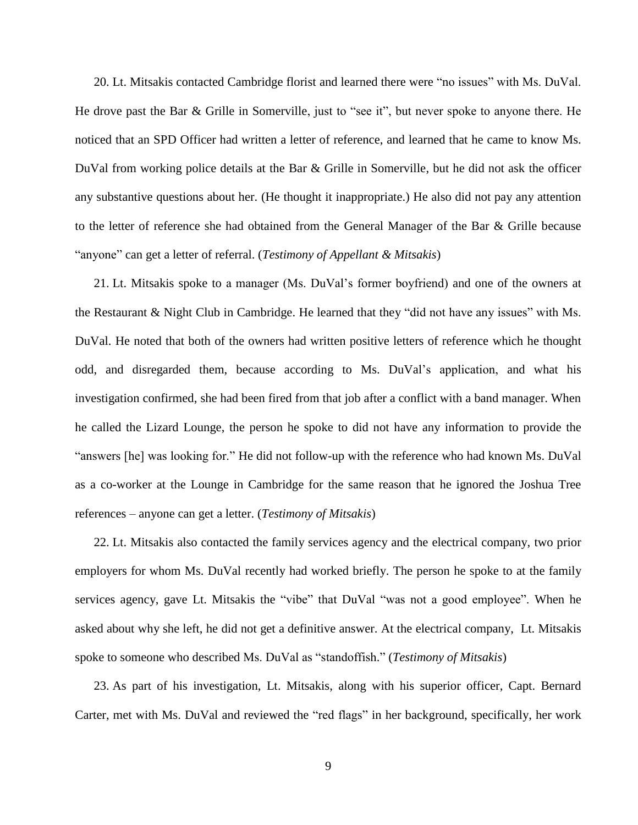20. Lt. Mitsakis contacted Cambridge florist and learned there were "no issues" with Ms. DuVal. He drove past the Bar & Grille in Somerville, just to "see it", but never spoke to anyone there. He noticed that an SPD Officer had written a letter of reference, and learned that he came to know Ms. DuVal from working police details at the Bar & Grille in Somerville, but he did not ask the officer any substantive questions about her. (He thought it inappropriate.) He also did not pay any attention to the letter of reference she had obtained from the General Manager of the Bar & Grille because "anyone" can get a letter of referral. (*Testimony of Appellant & Mitsakis*)

21. Lt. Mitsakis spoke to a manager (Ms. DuVal's former boyfriend) and one of the owners at the Restaurant & Night Club in Cambridge. He learned that they "did not have any issues" with Ms. DuVal. He noted that both of the owners had written positive letters of reference which he thought odd, and disregarded them, because according to Ms. DuVal's application, and what his investigation confirmed, she had been fired from that job after a conflict with a band manager. When he called the Lizard Lounge, the person he spoke to did not have any information to provide the "answers [he] was looking for." He did not follow-up with the reference who had known Ms. DuVal as a co-worker at the Lounge in Cambridge for the same reason that he ignored the Joshua Tree references – anyone can get a letter. (*Testimony of Mitsakis*)

22. Lt. Mitsakis also contacted the family services agency and the electrical company, two prior employers for whom Ms. DuVal recently had worked briefly. The person he spoke to at the family services agency, gave Lt. Mitsakis the "vibe" that DuVal "was not a good employee". When he asked about why she left, he did not get a definitive answer. At the electrical company, Lt. Mitsakis spoke to someone who described Ms. DuVal as "standoffish." (*Testimony of Mitsakis*)

23. As part of his investigation, Lt. Mitsakis, along with his superior officer, Capt. Bernard Carter, met with Ms. DuVal and reviewed the "red flags" in her background, specifically, her work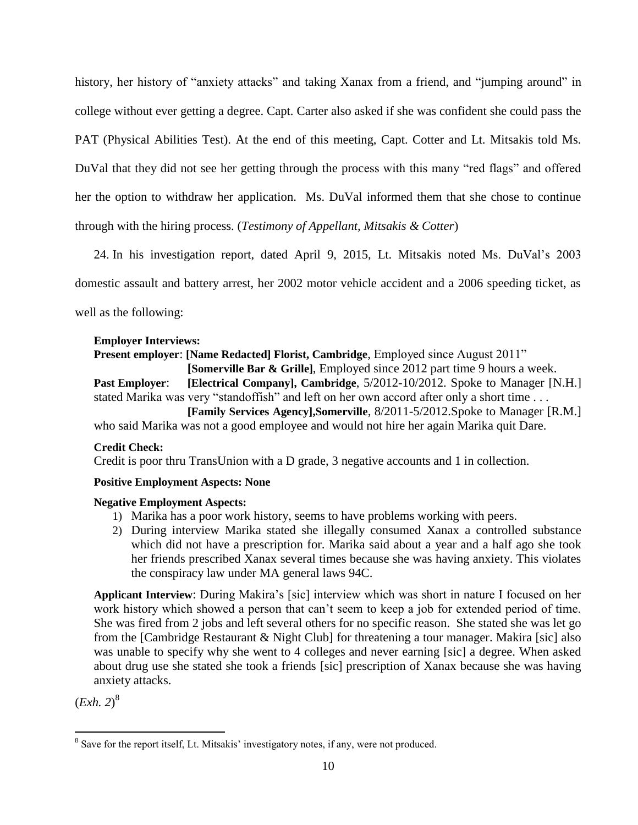history, her history of "anxiety attacks" and taking Xanax from a friend, and "jumping around" in college without ever getting a degree. Capt. Carter also asked if she was confident she could pass the PAT (Physical Abilities Test). At the end of this meeting, Capt. Cotter and Lt. Mitsakis told Ms. DuVal that they did not see her getting through the process with this many "red flags" and offered her the option to withdraw her application. Ms. DuVal informed them that she chose to continue through with the hiring process. (*Testimony of Appellant, Mitsakis & Cotter*)

24. In his investigation report, dated April 9, 2015, Lt. Mitsakis noted Ms. DuVal's 2003 domestic assault and battery arrest, her 2002 motor vehicle accident and a 2006 speeding ticket, as well as the following:

## **Employer Interviews:**

**Present employer**: **[Name Redacted] Florist, Cambridge**, Employed since August 2011" **[Somerville Bar & Grille]**, Employed since 2012 part time 9 hours a week. **Past Employer**: **[Electrical Company], Cambridge**, 5/2012-10/2012. Spoke to Manager [N.H.] stated Marika was very "standoffish" and left on her own accord after only a short time . . . **[Family Services Agency],Somerville**, 8/2011-5/2012.Spoke to Manager [R.M.]

who said Marika was not a good employee and would not hire her again Marika quit Dare.

## **Credit Check:**

Credit is poor thru TransUnion with a D grade, 3 negative accounts and 1 in collection.

## **Positive Employment Aspects: None**

#### **Negative Employment Aspects:**

- 1) Marika has a poor work history, seems to have problems working with peers.
- 2) During interview Marika stated she illegally consumed Xanax a controlled substance which did not have a prescription for. Marika said about a year and a half ago she took her friends prescribed Xanax several times because she was having anxiety. This violates the conspiracy law under MA general laws 94C.

**Applicant Interview**: During Makira's [sic] interview which was short in nature I focused on her work history which showed a person that can't seem to keep a job for extended period of time. She was fired from 2 jobs and left several others for no specific reason. She stated she was let go from the [Cambridge Restaurant & Night Club] for threatening a tour manager. Makira [sic] also was unable to specify why she went to 4 colleges and never earning [sic] a degree. When asked about drug use she stated she took a friends [sic] prescription of Xanax because she was having anxiety attacks.

(*Exh. 2*) 8

<sup>&</sup>lt;sup>8</sup> Save for the report itself, Lt. Mitsakis' investigatory notes, if any, were not produced.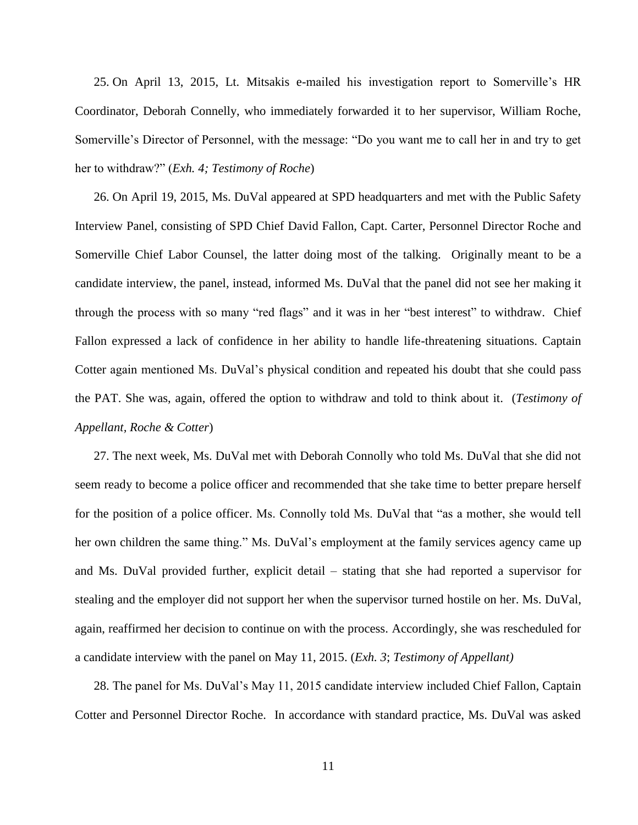25. On April 13, 2015, Lt. Mitsakis e-mailed his investigation report to Somerville's HR Coordinator, Deborah Connelly, who immediately forwarded it to her supervisor, William Roche, Somerville's Director of Personnel, with the message: "Do you want me to call her in and try to get her to withdraw?" (*Exh. 4; Testimony of Roche*)

26. On April 19, 2015, Ms. DuVal appeared at SPD headquarters and met with the Public Safety Interview Panel, consisting of SPD Chief David Fallon, Capt. Carter, Personnel Director Roche and Somerville Chief Labor Counsel, the latter doing most of the talking. Originally meant to be a candidate interview, the panel, instead, informed Ms. DuVal that the panel did not see her making it through the process with so many "red flags" and it was in her "best interest" to withdraw. Chief Fallon expressed a lack of confidence in her ability to handle life-threatening situations. Captain Cotter again mentioned Ms. DuVal's physical condition and repeated his doubt that she could pass the PAT. She was, again, offered the option to withdraw and told to think about it. (*Testimony of Appellant, Roche & Cotter*)

27. The next week, Ms. DuVal met with Deborah Connolly who told Ms. DuVal that she did not seem ready to become a police officer and recommended that she take time to better prepare herself for the position of a police officer. Ms. Connolly told Ms. DuVal that "as a mother, she would tell her own children the same thing." Ms. DuVal's employment at the family services agency came up and Ms. DuVal provided further, explicit detail – stating that she had reported a supervisor for stealing and the employer did not support her when the supervisor turned hostile on her. Ms. DuVal, again, reaffirmed her decision to continue on with the process. Accordingly, she was rescheduled for a candidate interview with the panel on May 11, 2015. (*Exh. 3*; *Testimony of Appellant)*

28. The panel for Ms. DuVal's May 11, 2015 candidate interview included Chief Fallon, Captain Cotter and Personnel Director Roche. In accordance with standard practice, Ms. DuVal was asked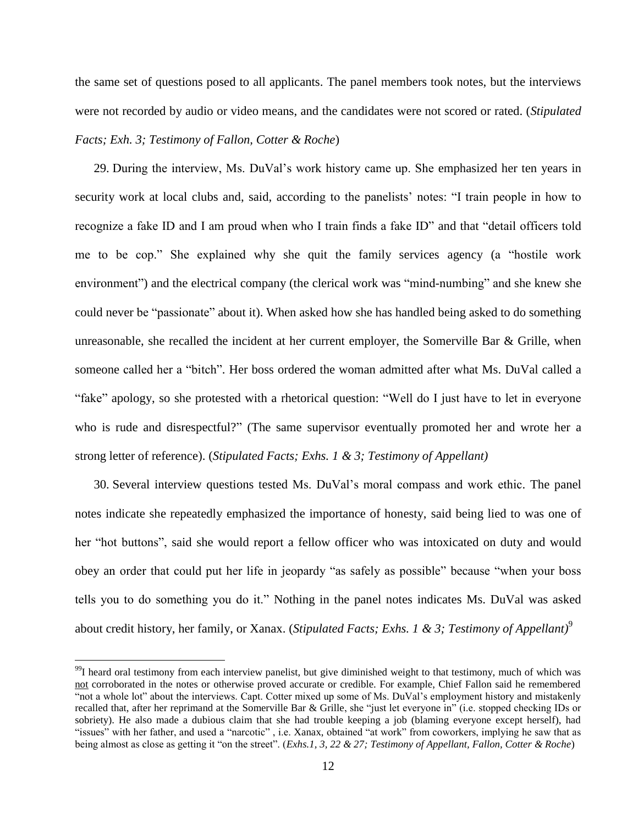the same set of questions posed to all applicants. The panel members took notes, but the interviews were not recorded by audio or video means, and the candidates were not scored or rated. (*Stipulated Facts; Exh. 3; Testimony of Fallon, Cotter & Roche*)

29. During the interview, Ms. DuVal's work history came up. She emphasized her ten years in security work at local clubs and, said, according to the panelists' notes: "I train people in how to recognize a fake ID and I am proud when who I train finds a fake ID" and that "detail officers told me to be cop." She explained why she quit the family services agency (a "hostile work environment") and the electrical company (the clerical work was "mind-numbing" and she knew she could never be "passionate" about it). When asked how she has handled being asked to do something unreasonable, she recalled the incident at her current employer, the Somerville Bar & Grille, when someone called her a "bitch". Her boss ordered the woman admitted after what Ms. DuVal called a "fake" apology, so she protested with a rhetorical question: "Well do I just have to let in everyone who is rude and disrespectful?" (The same supervisor eventually promoted her and wrote her a strong letter of reference). (*Stipulated Facts; Exhs. 1 & 3; Testimony of Appellant)*

30. Several interview questions tested Ms. DuVal's moral compass and work ethic. The panel notes indicate she repeatedly emphasized the importance of honesty, said being lied to was one of her "hot buttons", said she would report a fellow officer who was intoxicated on duty and would obey an order that could put her life in jeopardy "as safely as possible" because "when your boss tells you to do something you do it." Nothing in the panel notes indicates Ms. DuVal was asked about credit history, her family, or Xanax. (*Stipulated Facts; Exhs. 1 & 3; Testimony of Appellant)* 9

<sup>&</sup>lt;sup>99</sup>I heard oral testimony from each interview panelist, but give diminished weight to that testimony, much of which was not corroborated in the notes or otherwise proved accurate or credible. For example, Chief Fallon said he remembered "not a whole lot" about the interviews. Capt. Cotter mixed up some of Ms. DuVal's employment history and mistakenly recalled that, after her reprimand at the Somerville Bar & Grille, she "just let everyone in" (i.e. stopped checking IDs or sobriety). He also made a dubious claim that she had trouble keeping a job (blaming everyone except herself), had "issues" with her father, and used a "narcotic", i.e. Xanax, obtained "at work" from coworkers, implying he saw that as being almost as close as getting it "on the street". (*Exhs.1, 3, 22 & 27; Testimony of Appellant, Fallon, Cotter & Roche*)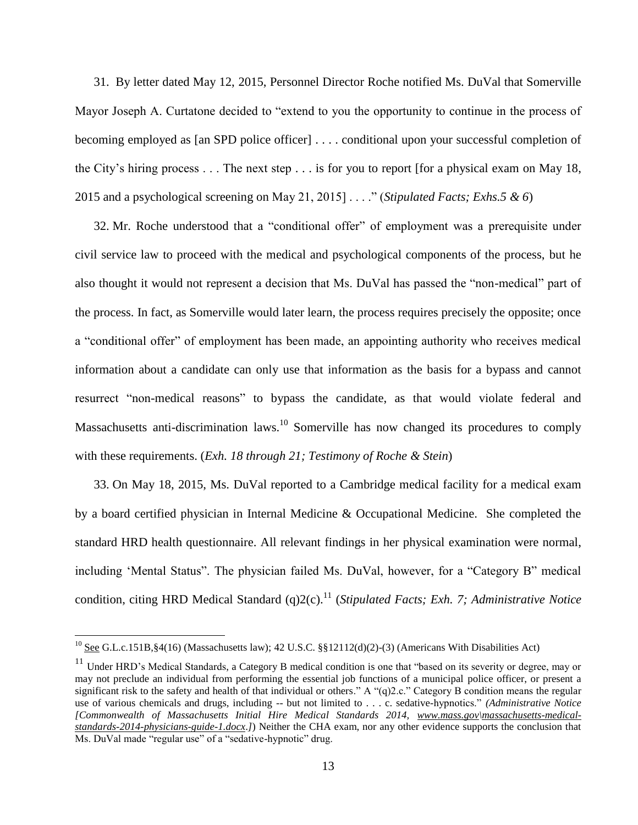31. By letter dated May 12, 2015, Personnel Director Roche notified Ms. DuVal that Somerville Mayor Joseph A. Curtatone decided to "extend to you the opportunity to continue in the process of becoming employed as [an SPD police officer] . . . . conditional upon your successful completion of the City's hiring process . . . The next step . . . is for you to report [for a physical exam on May 18, 2015 and a psychological screening on May 21, 2015] . . . ." (*Stipulated Facts; Exhs.5 & 6*)

32. Mr. Roche understood that a "conditional offer" of employment was a prerequisite under civil service law to proceed with the medical and psychological components of the process, but he also thought it would not represent a decision that Ms. DuVal has passed the "non-medical" part of the process. In fact, as Somerville would later learn, the process requires precisely the opposite; once a "conditional offer" of employment has been made, an appointing authority who receives medical information about a candidate can only use that information as the basis for a bypass and cannot resurrect "non-medical reasons" to bypass the candidate, as that would violate federal and Massachusetts anti-discrimination laws.<sup>10</sup> Somerville has now changed its procedures to comply with these requirements. (*Exh. 18 through 21; Testimony of Roche & Stein*)

33. On May 18, 2015, Ms. DuVal reported to a Cambridge medical facility for a medical exam by a board certified physician in Internal Medicine & Occupational Medicine. She completed the standard HRD health questionnaire. All relevant findings in her physical examination were normal, including 'Mental Status". The physician failed Ms. DuVal, however, for a "Category B" medical condition, citing HRD Medical Standard (q)2(c). <sup>11</sup> (*Stipulated Facts; Exh. 7; Administrative Notice* 

<sup>&</sup>lt;sup>10</sup> See G.L.c.151B, §4(16) (Massachusetts law); 42 U.S.C. §§12112(d)(2)-(3) (Americans With Disabilities Act)

<sup>&</sup>lt;sup>11</sup> Under HRD's Medical Standards, a Category B medical condition is one that "based on its severity or degree, may or may not preclude an individual from performing the essential job functions of a municipal police officer, or present a significant risk to the safety and health of that individual or others." A " $(q)2.c$ ." Category B condition means the regular use of various chemicals and drugs, including -- but not limited to . . . c. sedative-hypnotics." *(Administrative Notice [Commonwealth of Massachusetts Initial Hire Medical Standards 2014, [www.mass.gov\](http://www.mass.gov/)massachusetts-medicalstandards-2014-physicians-guide-1.docx*.*]*) Neither the CHA exam, nor any other evidence supports the conclusion that Ms. DuVal made "regular use" of a "sedative-hypnotic" drug.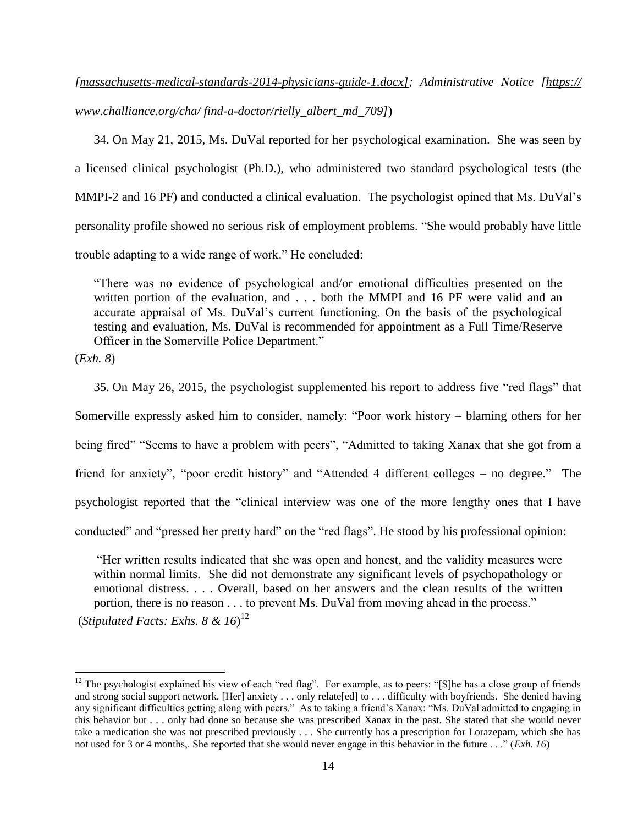# *[massachusetts-medical-standards-2014-physicians-guide-1.docx]; Administrative Notice [https:// www.challiance.org/cha/ find-a-doctor/rielly\_albert\_md\_709]*)

34. On May 21, 2015, Ms. DuVal reported for her psychological examination. She was seen by a licensed clinical psychologist (Ph.D.), who administered two standard psychological tests (the MMPI-2 and 16 PF) and conducted a clinical evaluation. The psychologist opined that Ms. DuVal's personality profile showed no serious risk of employment problems. "She would probably have little trouble adapting to a wide range of work." He concluded:

"There was no evidence of psychological and/or emotional difficulties presented on the written portion of the evaluation, and . . . both the MMPI and 16 PF were valid and an accurate appraisal of Ms. DuVal's current functioning. On the basis of the psychological testing and evaluation, Ms. DuVal is recommended for appointment as a Full Time/Reserve Officer in the Somerville Police Department."

(*Exh. 8*)

 $\overline{a}$ 

35. On May 26, 2015, the psychologist supplemented his report to address five "red flags" that Somerville expressly asked him to consider, namely: "Poor work history – blaming others for her being fired" "Seems to have a problem with peers", "Admitted to taking Xanax that she got from a friend for anxiety", "poor credit history" and "Attended 4 different colleges – no degree." The psychologist reported that the "clinical interview was one of the more lengthy ones that I have conducted" and "pressed her pretty hard" on the "red flags". He stood by his professional opinion:

"Her written results indicated that she was open and honest, and the validity measures were within normal limits. She did not demonstrate any significant levels of psychopathology or emotional distress. . . . Overall, based on her answers and the clean results of the written portion, there is no reason . . . to prevent Ms. DuVal from moving ahead in the process." (*Stipulated Facts: Exhs. 8 & 16*) 12

 $12$  The psychologist explained his view of each "red flag". For example, as to peers: "[S]he has a close group of friends and strong social support network. [Her] anxiety . . . only relate[ed] to . . . difficulty with boyfriends. She denied having any significant difficulties getting along with peers." As to taking a friend's Xanax: "Ms. DuVal admitted to engaging in this behavior but . . . only had done so because she was prescribed Xanax in the past. She stated that she would never take a medication she was not prescribed previously . . . She currently has a prescription for Lorazepam, which she has not used for 3 or 4 months,. She reported that she would never engage in this behavior in the future . . ." (*Exh. 16*)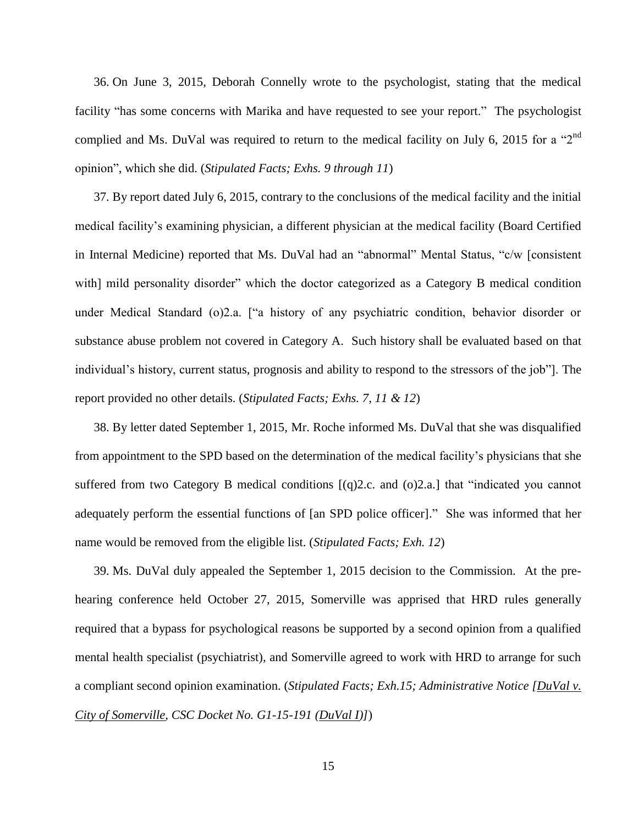36. On June 3, 2015, Deborah Connelly wrote to the psychologist, stating that the medical facility "has some concerns with Marika and have requested to see your report." The psychologist complied and Ms. DuVal was required to return to the medical facility on July 6, 2015 for a "2<sup>nd</sup> opinion", which she did. (*Stipulated Facts; Exhs. 9 through 11*)

37. By report dated July 6, 2015, contrary to the conclusions of the medical facility and the initial medical facility's examining physician, a different physician at the medical facility (Board Certified in Internal Medicine) reported that Ms. DuVal had an "abnormal" Mental Status, "c/w [consistent with] mild personality disorder" which the doctor categorized as a Category B medical condition under Medical Standard (o)2.a. ["a history of any psychiatric condition, behavior disorder or substance abuse problem not covered in Category A. Such history shall be evaluated based on that individual's history, current status, prognosis and ability to respond to the stressors of the job"]. The report provided no other details. (*Stipulated Facts; Exhs. 7, 11 & 12*)

38. By letter dated September 1, 2015, Mr. Roche informed Ms. DuVal that she was disqualified from appointment to the SPD based on the determination of the medical facility's physicians that she suffered from two Category B medical conditions [(q)2.c. and (o)2.a.] that "indicated you cannot adequately perform the essential functions of [an SPD police officer]." She was informed that her name would be removed from the eligible list. (*Stipulated Facts; Exh. 12*)

39. Ms. DuVal duly appealed the September 1, 2015 decision to the Commission. At the prehearing conference held October 27, 2015, Somerville was apprised that HRD rules generally required that a bypass for psychological reasons be supported by a second opinion from a qualified mental health specialist (psychiatrist), and Somerville agreed to work with HRD to arrange for such a compliant second opinion examination. (*Stipulated Facts; Exh.15; Administrative Notice [DuVal v. City of Somerville, CSC Docket No. G1-15-191 (DuVal I)]*)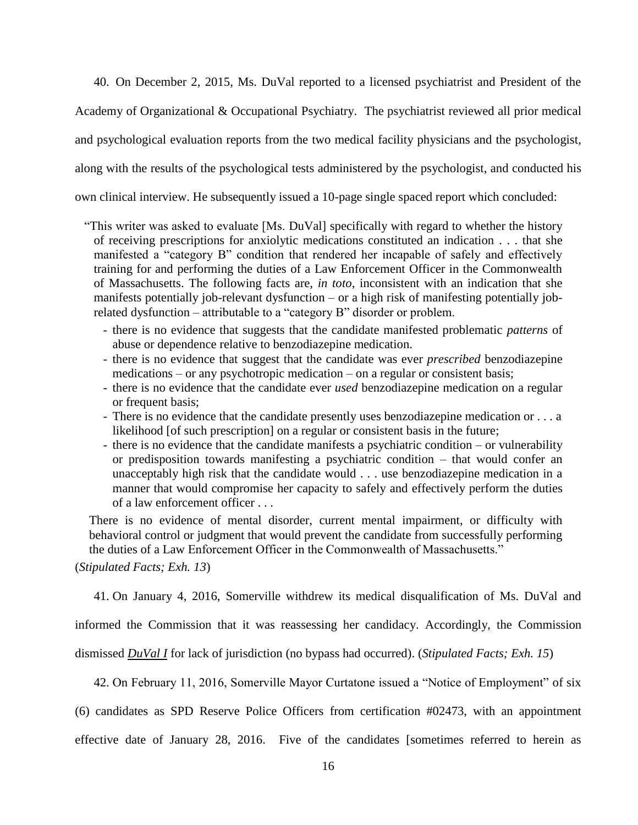40. On December 2, 2015, Ms. DuVal reported to a licensed psychiatrist and President of the

Academy of Organizational & Occupational Psychiatry. The psychiatrist reviewed all prior medical

and psychological evaluation reports from the two medical facility physicians and the psychologist,

along with the results of the psychological tests administered by the psychologist, and conducted his

own clinical interview. He subsequently issued a 10-page single spaced report which concluded:

- "This writer was asked to evaluate [Ms. DuVal] specifically with regard to whether the history of receiving prescriptions for anxiolytic medications constituted an indication . . . that she manifested a "category B" condition that rendered her incapable of safely and effectively training for and performing the duties of a Law Enforcement Officer in the Commonwealth of Massachusetts. The following facts are, *in toto*, inconsistent with an indication that she manifests potentially job-relevant dysfunction – or a high risk of manifesting potentially jobrelated dysfunction – attributable to a "category B" disorder or problem.
	- there is no evidence that suggests that the candidate manifested problematic *patterns* of abuse or dependence relative to benzodiazepine medication.
	- there is no evidence that suggest that the candidate was ever *prescribed* benzodiazepine medications – or any psychotropic medication – on a regular or consistent basis;
	- there is no evidence that the candidate ever *used* benzodiazepine medication on a regular or frequent basis:
	- There is no evidence that the candidate presently uses benzodiazepine medication or . . . a likelihood [of such prescription] on a regular or consistent basis in the future;
	- there is no evidence that the candidate manifests a psychiatric condition or vulnerability or predisposition towards manifesting a psychiatric condition – that would confer an unacceptably high risk that the candidate would . . . use benzodiazepine medication in a manner that would compromise her capacity to safely and effectively perform the duties of a law enforcement officer . . .

There is no evidence of mental disorder, current mental impairment, or difficulty with behavioral control or judgment that would prevent the candidate from successfully performing the duties of a Law Enforcement Officer in the Commonwealth of Massachusetts."

(*Stipulated Facts; Exh. 13*)

41. On January 4, 2016, Somerville withdrew its medical disqualification of Ms. DuVal and

informed the Commission that it was reassessing her candidacy. Accordingly, the Commission

dismissed *DuVal I* for lack of jurisdiction (no bypass had occurred). (*Stipulated Facts; Exh. 15*)

42. On February 11, 2016, Somerville Mayor Curtatone issued a "Notice of Employment" of six

(6) candidates as SPD Reserve Police Officers from certification #02473, with an appointment

effective date of January 28, 2016. Five of the candidates [sometimes referred to herein as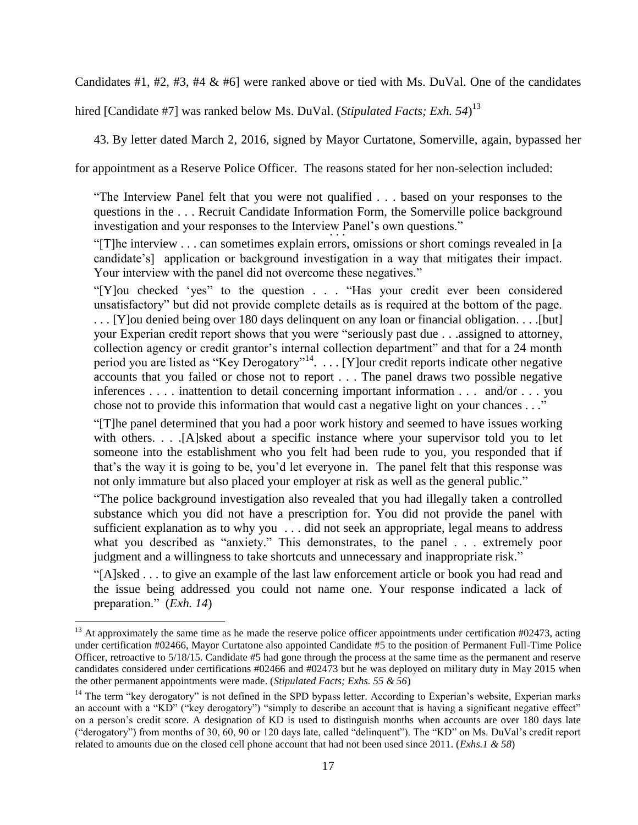Candidates  $\#1$ ,  $\#2$ ,  $\#3$ ,  $\#4 \& \#6$ ] were ranked above or tied with Ms. DuVal. One of the candidates

hired [Candidate #7] was ranked below Ms. DuVal. (*Stipulated Facts; Exh. 54*) 13

43. By letter dated March 2, 2016, signed by Mayor Curtatone, Somerville, again, bypassed her

for appointment as a Reserve Police Officer. The reasons stated for her non-selection included:

"The Interview Panel felt that you were not qualified . . . based on your responses to the questions in the . . . Recruit Candidate Information Form, the Somerville police background investigation and your responses to the Interview Panel's own questions." . . .

"[T]he interview . . . can sometimes explain errors, omissions or short comings revealed in [a candidate's] application or background investigation in a way that mitigates their impact. Your interview with the panel did not overcome these negatives."

"[Y]ou checked 'yes" to the question . . . "Has your credit ever been considered unsatisfactory" but did not provide complete details as is required at the bottom of the page. . . . [Y]ou denied being over 180 days delinquent on any loan or financial obligation. . . .[but] your Experian credit report shows that you were "seriously past due . . .assigned to attorney, collection agency or credit grantor's internal collection department" and that for a 24 month period you are listed as "Key Derogatory"<sup>14</sup>. . . . [Y] our credit reports indicate other negative accounts that you failed or chose not to report . . . The panel draws two possible negative inferences . . . . inattention to detail concerning important information . . . and/or . . . you chose not to provide this information that would cast a negative light on your chances . . ."

"[T]he panel determined that you had a poor work history and seemed to have issues working with others. . . .[A]sked about a specific instance where your supervisor told you to let someone into the establishment who you felt had been rude to you, you responded that if that's the way it is going to be, you'd let everyone in. The panel felt that this response was not only immature but also placed your employer at risk as well as the general public."

"The police background investigation also revealed that you had illegally taken a controlled substance which you did not have a prescription for. You did not provide the panel with sufficient explanation as to why you . . . did not seek an appropriate, legal means to address what you described as "anxiety." This demonstrates, to the panel . . . extremely poor judgment and a willingness to take shortcuts and unnecessary and inappropriate risk."

"[A]sked . . . to give an example of the last law enforcement article or book you had read and the issue being addressed you could not name one. Your response indicated a lack of preparation." (*Exh. 14*)

 $13$  At approximately the same time as he made the reserve police officer appointments under certification #02473, acting under certification #02466, Mayor Curtatone also appointed Candidate #5 to the position of Permanent Full-Time Police Officer, retroactive to 5/18/15. Candidate #5 had gone through the process at the same time as the permanent and reserve candidates considered under certifications #02466 and #02473 but he was deployed on military duty in May 2015 when the other permanent appointments were made. (*Stipulated Facts; Exhs. 55 & 56*)

<sup>&</sup>lt;sup>14</sup> The term "key derogatory" is not defined in the SPD bypass letter. According to Experian's website, Experian marks an account with a "KD" ("key derogatory") "simply to describe an account that is having a significant negative effect" on a person's credit score. A designation of KD is used to distinguish months when accounts are over 180 days late ("derogatory") from months of 30, 60, 90 or 120 days late, called "delinquent"). The "KD" on Ms. DuVal's credit report related to amounts due on the closed cell phone account that had not been used since 2011. (*Exhs.1 & 58*)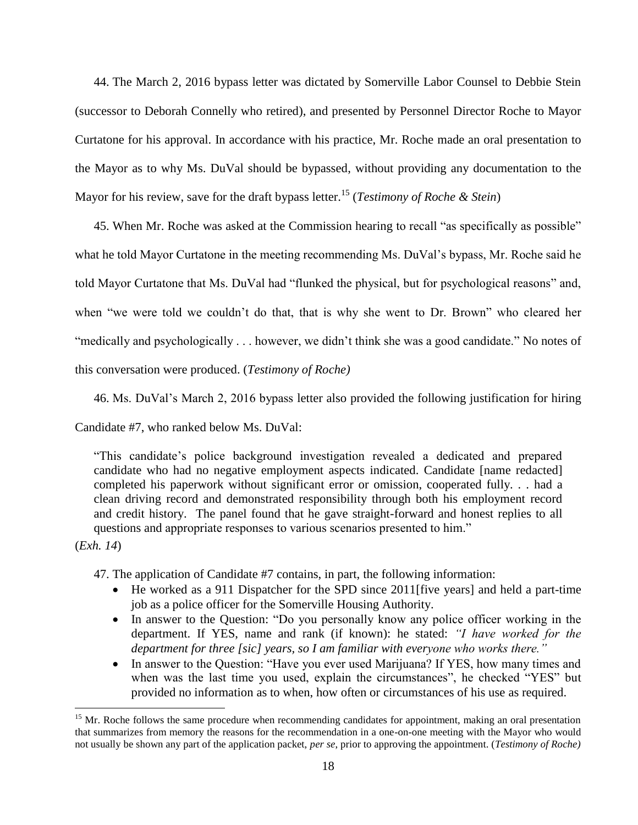44. The March 2, 2016 bypass letter was dictated by Somerville Labor Counsel to Debbie Stein (successor to Deborah Connelly who retired), and presented by Personnel Director Roche to Mayor Curtatone for his approval. In accordance with his practice, Mr. Roche made an oral presentation to the Mayor as to why Ms. DuVal should be bypassed, without providing any documentation to the Mayor for his review, save for the draft bypass letter.<sup>15</sup> (*Testimony of Roche & Stein*)

45. When Mr. Roche was asked at the Commission hearing to recall "as specifically as possible" what he told Mayor Curtatone in the meeting recommending Ms. DuVal's bypass, Mr. Roche said he told Mayor Curtatone that Ms. DuVal had "flunked the physical, but for psychological reasons" and, when "we were told we couldn't do that, that is why she went to Dr. Brown" who cleared her "medically and psychologically . . . however, we didn't think she was a good candidate." No notes of this conversation were produced. (*Testimony of Roche)*

46. Ms. DuVal's March 2, 2016 bypass letter also provided the following justification for hiring

Candidate #7, who ranked below Ms. DuVal:

"This candidate's police background investigation revealed a dedicated and prepared candidate who had no negative employment aspects indicated. Candidate [name redacted] completed his paperwork without significant error or omission, cooperated fully. . . had a clean driving record and demonstrated responsibility through both his employment record and credit history. The panel found that he gave straight-forward and honest replies to all questions and appropriate responses to various scenarios presented to him."

(*Exh. 14*)

 $\overline{a}$ 

47. The application of Candidate #7 contains, in part, the following information:

- He worked as a 911 Dispatcher for the SPD since 2011[five years] and held a part-time job as a police officer for the Somerville Housing Authority.
- In answer to the Question: "Do you personally know any police officer working in the department. If YES, name and rank (if known): he stated: *"I have worked for the department for three [sic] years, so I am familiar with everyone who works there."*
- In answer to the Question: "Have you ever used Marijuana? If YES, how many times and when was the last time you used, explain the circumstances", he checked "YES" but provided no information as to when, how often or circumstances of his use as required.

<sup>&</sup>lt;sup>15</sup> Mr. Roche follows the same procedure when recommending candidates for appointment, making an oral presentation that summarizes from memory the reasons for the recommendation in a one-on-one meeting with the Mayor who would not usually be shown any part of the application packet, *per se*, prior to approving the appointment. (*Testimony of Roche)*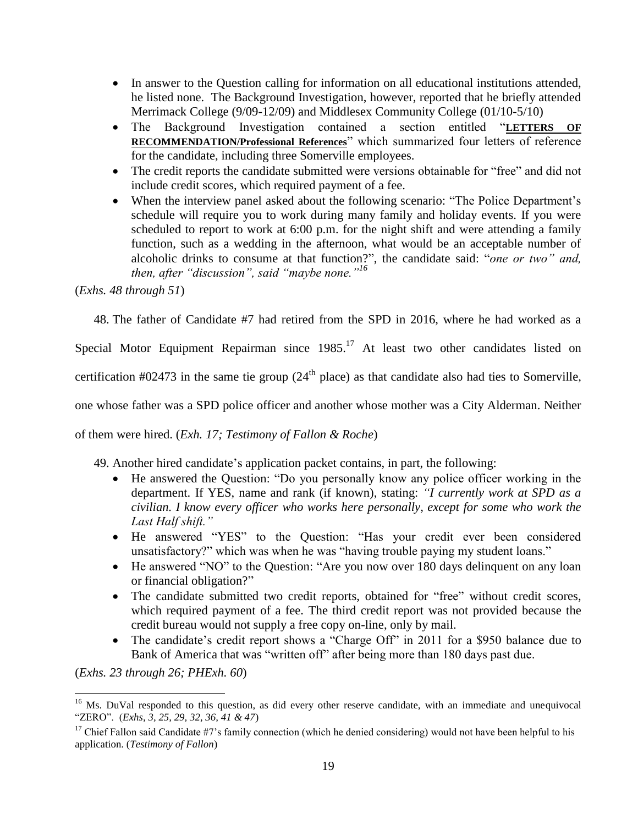- In answer to the Question calling for information on all educational institutions attended, he listed none. The Background Investigation, however, reported that he briefly attended Merrimack College (9/09-12/09) and Middlesex Community College (01/10-5/10)
- The Background Investigation contained a section entitled "**LETTERS OF RECOMMENDATION/Professional References**" which summarized four letters of reference for the candidate, including three Somerville employees.
- The credit reports the candidate submitted were versions obtainable for "free" and did not include credit scores, which required payment of a fee.
- When the interview panel asked about the following scenario: "The Police Department's schedule will require you to work during many family and holiday events. If you were scheduled to report to work at 6:00 p.m. for the night shift and were attending a family function, such as a wedding in the afternoon, what would be an acceptable number of alcoholic drinks to consume at that function?", the candidate said: "*one or two" and, then, after "discussion", said "maybe none."<sup>16</sup>*

(*Exhs. 48 through 51*)

48. The father of Candidate #7 had retired from the SPD in 2016, where he had worked as a

Special Motor Equipment Repairman since  $1985$ <sup>17</sup> At least two other candidates listed on

certification #02473 in the same tie group  $(24<sup>th</sup>$  place) as that candidate also had ties to Somerville,

one whose father was a SPD police officer and another whose mother was a City Alderman. Neither

of them were hired. (*Exh. 17; Testimony of Fallon & Roche*)

49. Another hired candidate's application packet contains, in part, the following:

- He answered the Question: "Do you personally know any police officer working in the department. If YES, name and rank (if known), stating: *"I currently work at SPD as a civilian. I know every officer who works here personally, except for some who work the Last Half shift."*
- He answered "YES" to the Question: "Has your credit ever been considered unsatisfactory?" which was when he was "having trouble paying my student loans."
- He answered "NO" to the Question: "Are you now over 180 days delinquent on any loan or financial obligation?"
- The candidate submitted two credit reports, obtained for "free" without credit scores, which required payment of a fee. The third credit report was not provided because the credit bureau would not supply a free copy on-line, only by mail.
- The candidate's credit report shows a "Charge Off" in 2011 for a \$950 balance due to Bank of America that was "written off" after being more than 180 days past due.

(*Exhs. 23 through 26; PHExh. 60*)

<sup>&</sup>lt;sup>16</sup> Ms. DuVal responded to this question, as did every other reserve candidate, with an immediate and unequivocal "ZERO". (*Exhs, 3, 25, 29, 32, 36, 41 & 47*)

<sup>&</sup>lt;sup>17</sup> Chief Fallon said Candidate #7's family connection (which he denied considering) would not have been helpful to his application. (*Testimony of Fallon*)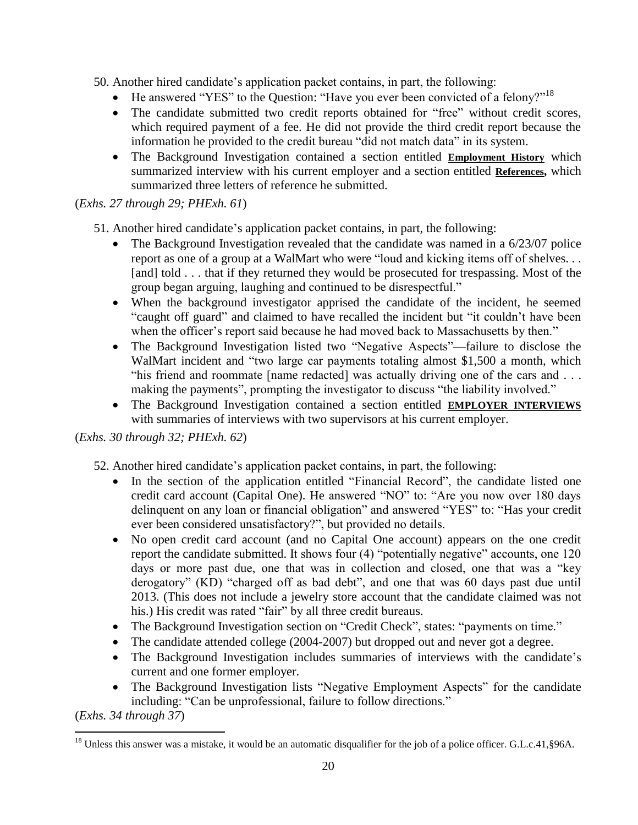- 50. Another hired candidate's application packet contains, in part, the following:
	- $\bullet$  He answered "YES" to the Question: "Have you ever been convicted of a felony?"<sup>18</sup>
	- The candidate submitted two credit reports obtained for "free" without credit scores, which required payment of a fee. He did not provide the third credit report because the information he provided to the credit bureau "did not match data" in its system.
	- The Background Investigation contained a section entitled **Employment History** which summarized interview with his current employer and a section entitled **References,** which summarized three letters of reference he submitted.

## (*Exhs. 27 through 29; PHExh. 61*)

51. Another hired candidate's application packet contains, in part, the following:

- The Background Investigation revealed that the candidate was named in a 6/23/07 police report as one of a group at a WalMart who were "loud and kicking items off of shelves. . . [and] told . . . that if they returned they would be prosecuted for trespassing. Most of the group began arguing, laughing and continued to be disrespectful."
- When the background investigator apprised the candidate of the incident, he seemed "caught off guard" and claimed to have recalled the incident but "it couldn't have been when the officer's report said because he had moved back to Massachusetts by then."
- The Background Investigation listed two "Negative Aspects"—failure to disclose the WalMart incident and "two large car payments totaling almost \$1,500 a month, which "his friend and roommate [name redacted] was actually driving one of the cars and . . . making the payments", prompting the investigator to discuss "the liability involved."
- The Background Investigation contained a section entitled **EMPLOYER INTERVIEWS** with summaries of interviews with two supervisors at his current employer.

## (*Exhs. 30 through 32; PHExh. 62*)

- 52. Another hired candidate's application packet contains, in part, the following:
	- In the section of the application entitled "Financial Record", the candidate listed one credit card account (Capital One). He answered "NO" to: "Are you now over 180 days delinquent on any loan or financial obligation" and answered "YES" to: "Has your credit ever been considered unsatisfactory?", but provided no details.
	- No open credit card account (and no Capital One account) appears on the one credit report the candidate submitted. It shows four (4) "potentially negative" accounts, one 120 days or more past due, one that was in collection and closed, one that was a "key derogatory" (KD) "charged off as bad debt", and one that was 60 days past due until 2013. (This does not include a jewelry store account that the candidate claimed was not his.) His credit was rated "fair" by all three credit bureaus.
	- The Background Investigation section on "Credit Check", states: "payments on time."
	- The candidate attended college (2004-2007) but dropped out and never got a degree.
	- The Background Investigation includes summaries of interviews with the candidate's current and one former employer.
	- The Background Investigation lists "Negative Employment Aspects" for the candidate including: "Can be unprofessional, failure to follow directions."

(*Exhs. 34 through 37*)

 $\overline{a}$  $^{18}$  Unless this answer was a mistake, it would be an automatic disqualifier for the job of a police officer. G.L.c.41, §96A.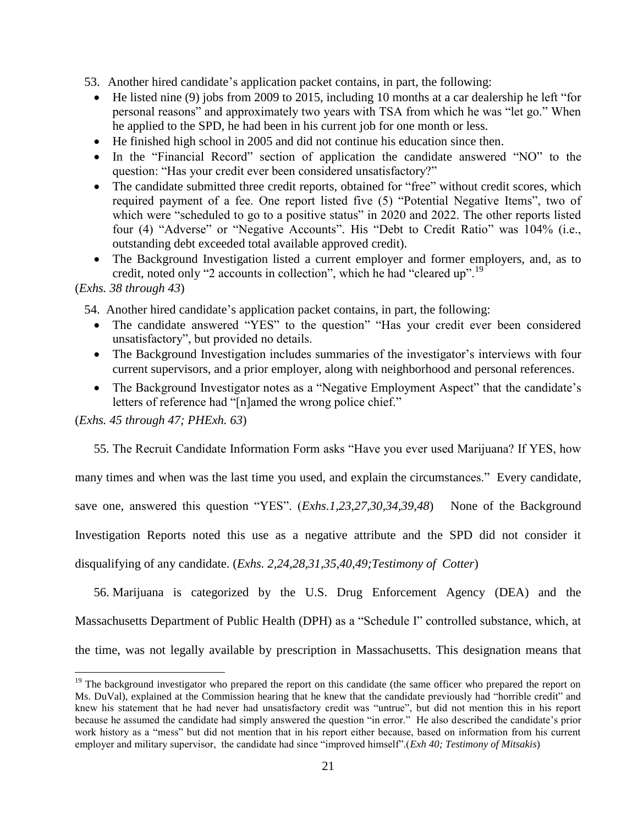53. Another hired candidate's application packet contains, in part, the following:

- He listed nine (9) jobs from 2009 to 2015, including 10 months at a car dealership he left "for personal reasons" and approximately two years with TSA from which he was "let go." When he applied to the SPD, he had been in his current job for one month or less.
- He finished high school in 2005 and did not continue his education since then.
- In the "Financial Record" section of application the candidate answered "NO" to the question: "Has your credit ever been considered unsatisfactory?"
- The candidate submitted three credit reports, obtained for "free" without credit scores, which required payment of a fee. One report listed five (5) "Potential Negative Items", two of which were "scheduled to go to a positive status" in 2020 and 2022. The other reports listed four (4) "Adverse" or "Negative Accounts". His "Debt to Credit Ratio" was 104% (i.e., outstanding debt exceeded total available approved credit).
- The Background Investigation listed a current employer and former employers, and, as to credit, noted only "2 accounts in collection", which he had "cleared up".<sup>19</sup>

## (*Exhs. 38 through 43*)

 $\overline{a}$ 

54. Another hired candidate's application packet contains, in part, the following:

- The candidate answered "YES" to the question" "Has your credit ever been considered unsatisfactory", but provided no details.
- The Background Investigation includes summaries of the investigator's interviews with four current supervisors, and a prior employer, along with neighborhood and personal references.
- The Background Investigator notes as a "Negative Employment Aspect" that the candidate's letters of reference had "[n]amed the wrong police chief."

(*Exhs. 45 through 47; PHExh. 63*)

55. The Recruit Candidate Information Form asks "Have you ever used Marijuana? If YES, how many times and when was the last time you used, and explain the circumstances." Every candidate, save one, answered this question "YES". (*Exhs.1,23,27,30,34,39,48*) None of the Background Investigation Reports noted this use as a negative attribute and the SPD did not consider it disqualifying of any candidate. (*Exhs. 2,24,28,31,35,40,49;Testimony of Cotter*)

56. Marijuana is categorized by the U.S. Drug Enforcement Agency (DEA) and the Massachusetts Department of Public Health (DPH) as a "Schedule I" controlled substance, which, at the time, was not legally available by prescription in Massachusetts. This designation means that

 $19$  The background investigator who prepared the report on this candidate (the same officer who prepared the report on Ms. DuVal), explained at the Commission hearing that he knew that the candidate previously had "horrible credit" and knew his statement that he had never had unsatisfactory credit was "untrue", but did not mention this in his report because he assumed the candidate had simply answered the question "in error." He also described the candidate's prior work history as a "mess" but did not mention that in his report either because, based on information from his current employer and military supervisor, the candidate had since "improved himself".(*Exh 40; Testimony of Mitsakis*)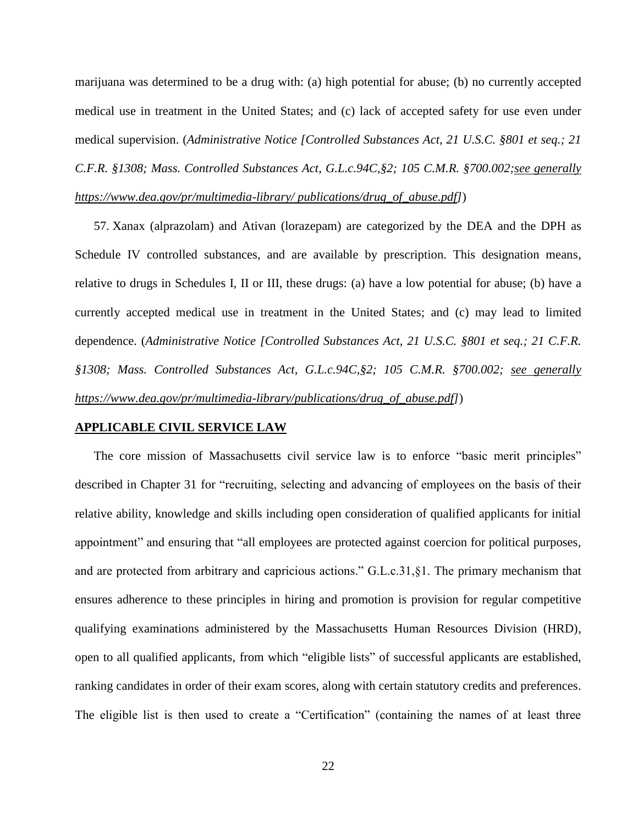marijuana was determined to be a drug with: (a) high potential for abuse; (b) no currently accepted medical use in treatment in the United States; and (c) lack of accepted safety for use even under medical supervision. (*Administrative Notice [Controlled Substances Act, 21 U.S.C. §801 et seq.; 21 C.F.R. §1308; Mass. Controlled Substances Act, G.L.c.94C,§2; 105 C.M.R. §700.002;see generally [https://www.dea.gov/pr/multimedia-library/ publications/drug\\_of\\_abuse.pdf\]](https://www.dea.gov/pr/multimedia-library/%20publications/drug_of_abuse.pdf)*)

57. Xanax (alprazolam) and Ativan (lorazepam) are categorized by the DEA and the DPH as Schedule IV controlled substances, and are available by prescription. This designation means, relative to drugs in Schedules I, II or III, these drugs: (a) have a low potential for abuse; (b) have a currently accepted medical use in treatment in the United States; and (c) may lead to limited dependence. (*Administrative Notice [Controlled Substances Act, 21 U.S.C. §801 et seq.; 21 C.F.R. §1308; Mass. Controlled Substances Act, G.L.c.94C,§2; 105 C.M.R. §700.002; see generally [https://www.dea.gov/pr/multimedia-library/publications/drug\\_of\\_abuse.pdf\]](https://www.dea.gov/pr/multimedia-library/publications/drug_of_abuse.pdf)*)

#### **APPLICABLE CIVIL SERVICE LAW**

The core mission of Massachusetts civil service law is to enforce "basic merit principles" described in Chapter 31 for "recruiting, selecting and advancing of employees on the basis of their relative ability, knowledge and skills including open consideration of qualified applicants for initial appointment" and ensuring that "all employees are protected against coercion for political purposes, and are protected from arbitrary and capricious actions." G.L.c.31,§1. The primary mechanism that ensures adherence to these principles in hiring and promotion is provision for regular competitive qualifying examinations administered by the Massachusetts Human Resources Division (HRD), open to all qualified applicants, from which "eligible lists" of successful applicants are established, ranking candidates in order of their exam scores, along with certain statutory credits and preferences. The eligible list is then used to create a "Certification" (containing the names of at least three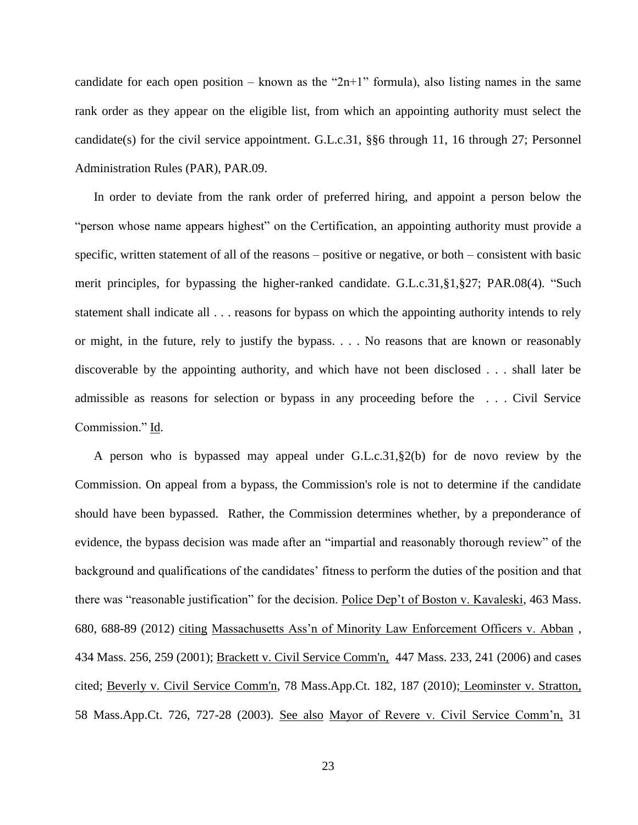candidate for each open position – known as the " $2n+1$ " formula), also listing names in the same rank order as they appear on the eligible list, from which an appointing authority must select the candidate(s) for the civil service appointment. G.L.c.31, §§6 through 11, 16 through 27; Personnel Administration Rules (PAR), PAR.09.

In order to deviate from the rank order of preferred hiring, and appoint a person below the "person whose name appears highest" on the Certification, an appointing authority must provide a specific, written statement of all of the reasons – positive or negative, or both – consistent with basic merit principles, for bypassing the higher-ranked candidate. G.L.c.31,§1,§27; PAR.08(4). "Such statement shall indicate all . . . reasons for bypass on which the appointing authority intends to rely or might, in the future, rely to justify the bypass. . . . No reasons that are known or reasonably discoverable by the appointing authority, and which have not been disclosed . . . shall later be admissible as reasons for selection or bypass in any proceeding before the . . . Civil Service Commission." Id.

A person who is bypassed may appeal under G.L.c.31,§2(b) for de novo review by the Commission. On appeal from a bypass, the Commission's role is not to determine if the candidate should have been bypassed. Rather, the Commission determines whether, by a preponderance of evidence, the bypass decision was made after an "impartial and reasonably thorough review" of the background and qualifications of the candidates' fitness to perform the duties of the position and that there was "reasonable justification" for the decision. Police Dep't of Boston v. Kavaleski, 463 Mass. 680, 688-89 (2012) citing Massachusetts Ass'n of Minority Law Enforcement Officers v. Abban , 434 Mass. 256, 259 (2001); [Brackett v. Civil Service Comm'n, 447 Mass. 233, 241 \(2006\)](http://web2.westlaw.com/find/default.wl?mt=Massachusetts&db=578&rs=WLW15.04&tc=-1&rp=%2ffind%2fdefault.wl&findtype=Y&ordoc=2029136022&serialnum=2009543382&vr=2.0&fn=_top&sv=Split&tf=-1&pbc=70F732C1&utid=1) and cases cited; [Beverly v. Civil Service Comm'n, 78 Mass.App.Ct. 182, 187 \(2010\);](http://web2.westlaw.com/find/default.wl?mt=Massachusetts&db=578&rs=WLW15.04&tc=-1&rp=%2ffind%2fdefault.wl&findtype=Y&ordoc=2029136022&serialnum=2023501172&vr=2.0&fn=_top&sv=Split&tf=-1&pbc=70F732C1&utid=1) Leominster v. Stratton, 58 Mass.App.Ct. 726, 727-28 (2003). See also Mayor of Revere v. Civil Service Comm'n, 31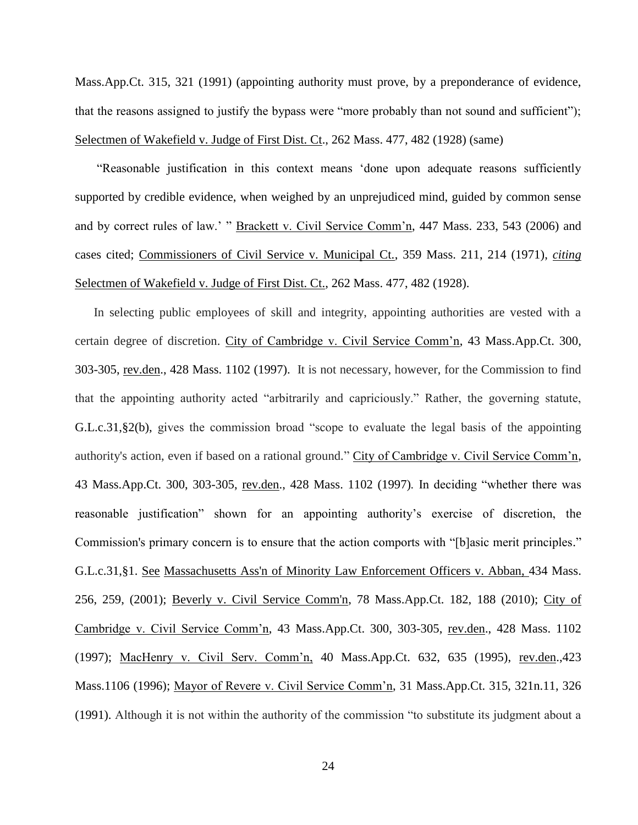Mass.App.Ct. 315, 321 (1991) (appointing authority must prove, by a preponderance of evidence, that the reasons assigned to justify the bypass were "more probably than not sound and sufficient"); Selectmen of Wakefield v. Judge of First Dist. Ct., 262 Mass. 477, 482 (1928) (same)

"Reasonable justification in this context means 'done upon adequate reasons sufficiently supported by credible evidence, when weighed by an unprejudiced mind, guided by common sense and by correct rules of law.' " Brackett v. Civil Service Comm'n, 447 Mass. 233, 543 (2006) and cases cited; Commissioners of Civil Service v. Municipal Ct., 359 Mass. 211, 214 (1971), *citing* Selectmen of Wakefield v. Judge of First Dist. Ct., 262 Mass. 477, 482 (1928).

In selecting public employees of skill and integrity, appointing authorities are vested with a certain degree of discretion. City of Cambridge v. Civil Service Comm'n, 43 Mass.App.Ct. 300, 303-305, rev.den., 428 Mass. 1102 (1997). It is not necessary, however, for the Commission to find that the appointing authority acted "arbitrarily and capriciously." Rather, the governing statute, [G.L.c.31,§2\(b\),](https://1.next.westlaw.com/Link/Document/FullText?findType=L&pubNum=1000042&cite=MAST31S2&originatingDoc=Ib21af0ded3bd11d99439b076ef9ec4de&refType=LQ&originationContext=document&transitionType=DocumentItem&contextData=(sc.History*oc.UserEnteredCitation)) gives the commission broad "scope to evaluate the legal basis of the appointing authority's action, even if based on a rational ground." City of Cambridge v. Civil Service Comm'n, 43 Mass.App.Ct. 300, 303-305, rev.den., 428 Mass. 1102 (1997)*.* In deciding "whether there was reasonable justification" shown for an appointing authority's exercise of discretion, the Commission's primary concern is to ensure that the action comports with "[b]asic merit principles." [G.L.c.31,§1.](http://web2.westlaw.com/find/default.wl?mt=Massachusetts&db=1000042&rs=WLW15.04&docname=MAST31S1&rp=%2ffind%2fdefault.wl&findtype=L&ordoc=2029136022&tc=-1&vr=2.0&fn=_top&sv=Split&tf=-1&pbc=70F732C1&utid=1) See [Massachusetts Ass'n of Minority Law Enforcement Officers v. Abban,](http://web2.westlaw.com/find/default.wl?mt=Massachusetts&db=578&rs=WLW15.04&tc=-1&rp=%2ffind%2fdefault.wl&findtype=Y&ordoc=2029136022&serialnum=2001441097&vr=2.0&fn=_top&sv=Split&tf=-1&pbc=70F732C1&utid=1) 434 Mass. [256, 259, \(2001\);](http://web2.westlaw.com/find/default.wl?mt=Massachusetts&db=578&rs=WLW15.04&tc=-1&rp=%2ffind%2fdefault.wl&findtype=Y&ordoc=2029136022&serialnum=2001441097&vr=2.0&fn=_top&sv=Split&tf=-1&pbc=70F732C1&utid=1) [Beverly v. Civil Service Comm'n, 78 Mass.App.Ct. 182, 188 \(2010\);](http://web2.westlaw.com/find/default.wl?mt=Massachusetts&db=578&rs=WLW15.04&tc=-1&rp=%2ffind%2fdefault.wl&findtype=Y&ordoc=2029136022&serialnum=2023501172&vr=2.0&fn=_top&sv=Split&tf=-1&pbc=70F732C1&utid=1) City of Cambridge v. Civil Service Comm'n, 43 Mass.App.Ct. 300, 303-305, rev.den., 428 Mass. 1102 (1997); MacHenry v. Civil Serv. Comm'n, 40 Mass.App.Ct. 632, 635 (1995), rev.den.,423 Mass.1106 (1996); Mayor of Revere v. Civil Service Comm'n, 31 Mass.App.Ct. 315, 321n.11, 326 (1991). Although it is not within the authority of the commission "to substitute its judgment about a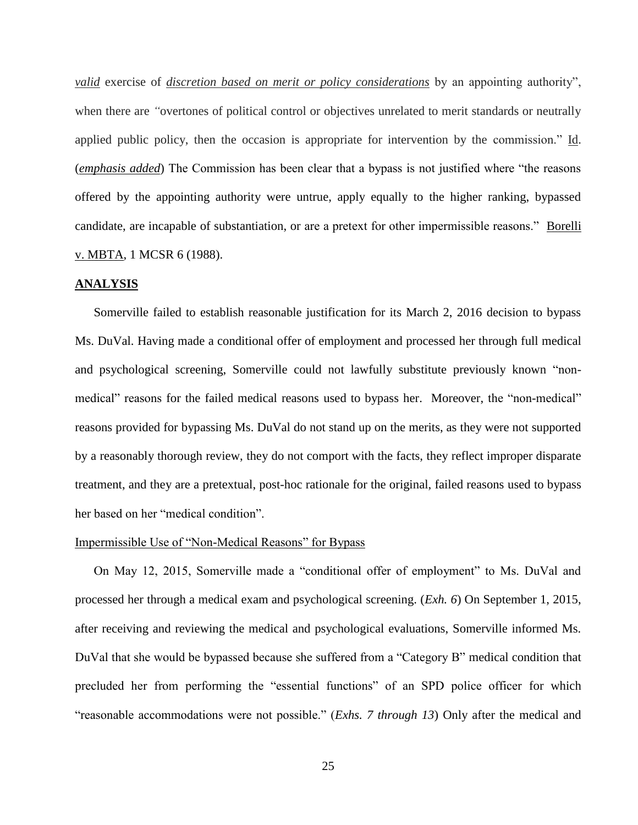*valid* exercise of *discretion based on merit or policy considerations* by an appointing authority", when there are "overtones of political control or objectives unrelated to merit standards or neutrally applied public policy, then the occasion is appropriate for intervention by the commission." Id. (*emphasis added*) The Commission has been clear that a bypass is not justified where "the reasons offered by the appointing authority were untrue, apply equally to the higher ranking, bypassed candidate, are incapable of substantiation, or are a pretext for other impermissible reasons." Borelli v. MBTA, 1 MCSR 6 (1988).

#### **ANALYSIS**

Somerville failed to establish reasonable justification for its March 2, 2016 decision to bypass Ms. DuVal. Having made a conditional offer of employment and processed her through full medical and psychological screening, Somerville could not lawfully substitute previously known "nonmedical" reasons for the failed medical reasons used to bypass her. Moreover, the "non-medical" reasons provided for bypassing Ms. DuVal do not stand up on the merits, as they were not supported by a reasonably thorough review, they do not comport with the facts, they reflect improper disparate treatment, and they are a pretextual, post-hoc rationale for the original, failed reasons used to bypass her based on her "medical condition".

#### Impermissible Use of "Non-Medical Reasons" for Bypass

On May 12, 2015, Somerville made a "conditional offer of employment" to Ms. DuVal and processed her through a medical exam and psychological screening. (*Exh. 6*) On September 1, 2015, after receiving and reviewing the medical and psychological evaluations, Somerville informed Ms. DuVal that she would be bypassed because she suffered from a "Category B" medical condition that precluded her from performing the "essential functions" of an SPD police officer for which "reasonable accommodations were not possible." (*Exhs. 7 through 13*) Only after the medical and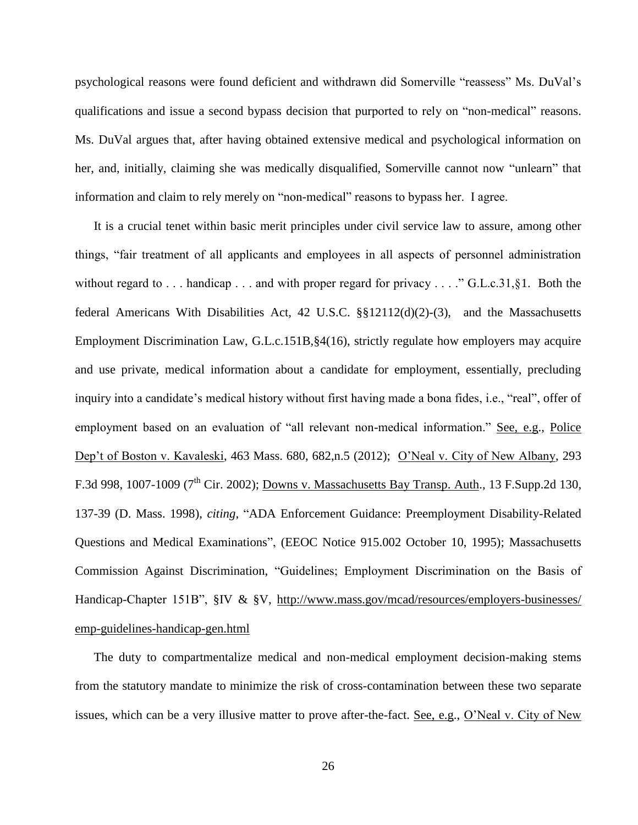psychological reasons were found deficient and withdrawn did Somerville "reassess" Ms. DuVal's qualifications and issue a second bypass decision that purported to rely on "non-medical" reasons. Ms. DuVal argues that, after having obtained extensive medical and psychological information on her, and, initially, claiming she was medically disqualified, Somerville cannot now "unlearn" that information and claim to rely merely on "non-medical" reasons to bypass her. I agree.

It is a crucial tenet within basic merit principles under civil service law to assure, among other things, "fair treatment of all applicants and employees in all aspects of personnel administration without regard to . . . handicap . . . and with proper regard for privacy . . . ." G.L.c.31, §1. Both the federal Americans With Disabilities Act, 42 U.S.C. §§12112(d)(2)-(3), and the Massachusetts Employment Discrimination Law, G.L.c.151B,§4(16), strictly regulate how employers may acquire and use private, medical information about a candidate for employment, essentially, precluding inquiry into a candidate's medical history without first having made a bona fides, i.e., "real", offer of employment based on an evaluation of "all relevant non-medical information." See, e.g., Police Dep't of Boston v. Kavaleski, 463 Mass. 680, 682,n.5 (2012); O'Neal v. City of New Albany, 293 F.3d 998, 1007-1009 (7<sup>th</sup> Cir. 2002); Downs v. Massachusetts Bay Transp. Auth., 13 F.Supp.2d 130, 137-39 (D. Mass. 1998), *citing*, "ADA Enforcement Guidance: Preemployment Disability-Related Questions and Medical Examinations", (EEOC Notice 915.002 October 10, 1995); Massachusetts Commission Against Discrimination, "Guidelines; Employment Discrimination on the Basis of Handicap-Chapter 151B", §IV & §V, http://www.mass.gov/mcad/resources/employers-businesses/ [emp-guidelines-handicap-gen.html](http://www.mass.gov/mcad/resources/employers-businesses/%20emp-guidelines-handicap-gen.html)

The duty to compartmentalize medical and non-medical employment decision-making stems from the statutory mandate to minimize the risk of cross-contamination between these two separate issues, which can be a very illusive matter to prove after-the-fact. See, e.g., O'Neal v. City of New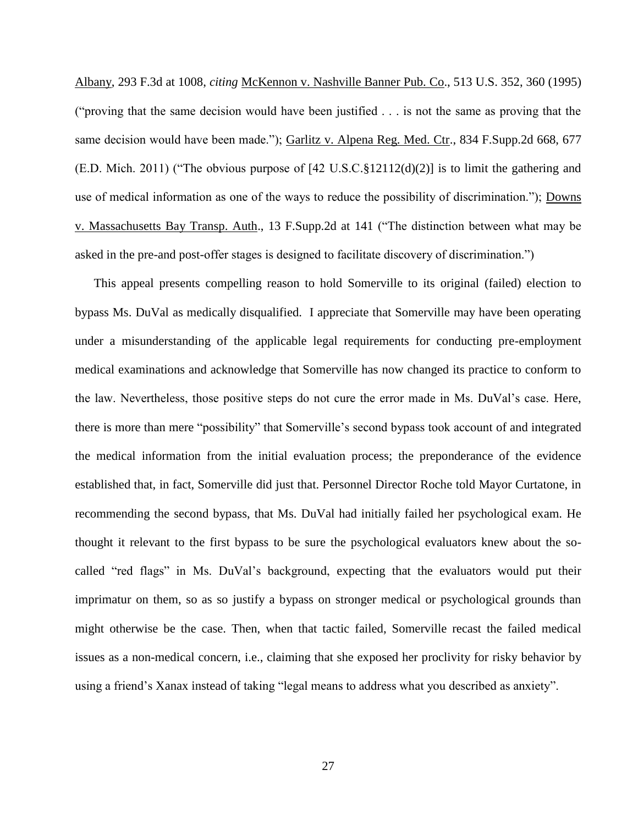Albany, 293 F.3d at 1008, *citing* McKennon v. Nashville Banner Pub. Co., 513 U.S. 352, 360 (1995) ("proving that the same decision would have been justified . . . is not the same as proving that the same decision would have been made."); Garlitz v. Alpena Reg. Med. Ctr., 834 F. Supp. 2d 668, 677 (E.D. Mich. 2011) ("The obvious purpose of  $[42 \text{ U.S.C.}\$12112(d)(2)]$  is to limit the gathering and use of medical information as one of the ways to reduce the possibility of discrimination."); Downs v. Massachusetts Bay Transp. Auth., 13 F.Supp.2d at 141 ("The distinction between what may be asked in the pre-and post-offer stages is designed to facilitate discovery of discrimination.")

This appeal presents compelling reason to hold Somerville to its original (failed) election to bypass Ms. DuVal as medically disqualified. I appreciate that Somerville may have been operating under a misunderstanding of the applicable legal requirements for conducting pre-employment medical examinations and acknowledge that Somerville has now changed its practice to conform to the law. Nevertheless, those positive steps do not cure the error made in Ms. DuVal's case. Here, there is more than mere "possibility" that Somerville's second bypass took account of and integrated the medical information from the initial evaluation process; the preponderance of the evidence established that, in fact, Somerville did just that. Personnel Director Roche told Mayor Curtatone, in recommending the second bypass, that Ms. DuVal had initially failed her psychological exam. He thought it relevant to the first bypass to be sure the psychological evaluators knew about the socalled "red flags" in Ms. DuVal's background, expecting that the evaluators would put their imprimatur on them, so as so justify a bypass on stronger medical or psychological grounds than might otherwise be the case. Then, when that tactic failed, Somerville recast the failed medical issues as a non-medical concern, i.e., claiming that she exposed her proclivity for risky behavior by using a friend's Xanax instead of taking "legal means to address what you described as anxiety".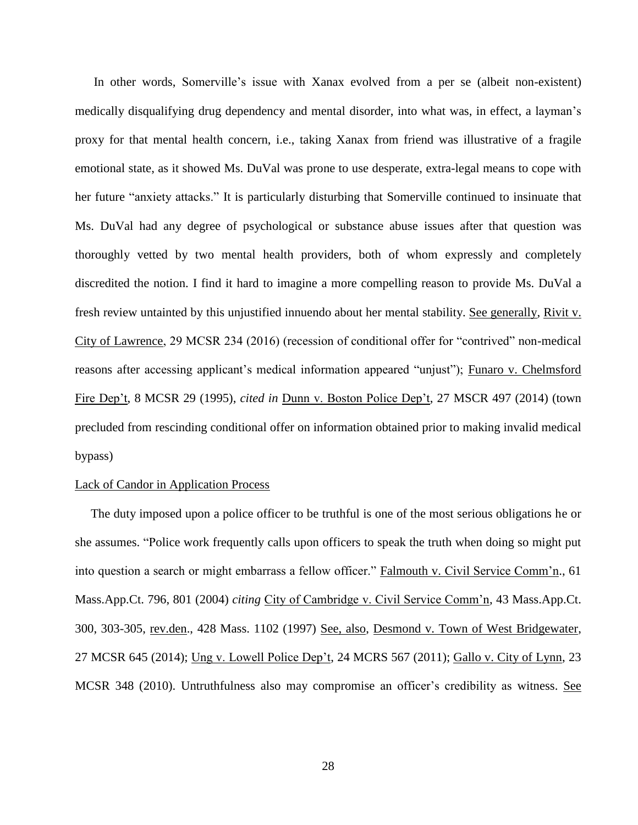In other words, Somerville's issue with Xanax evolved from a per se (albeit non-existent) medically disqualifying drug dependency and mental disorder, into what was, in effect, a layman's proxy for that mental health concern, i.e., taking Xanax from friend was illustrative of a fragile emotional state, as it showed Ms. DuVal was prone to use desperate, extra-legal means to cope with her future "anxiety attacks." It is particularly disturbing that Somerville continued to insinuate that Ms. DuVal had any degree of psychological or substance abuse issues after that question was thoroughly vetted by two mental health providers, both of whom expressly and completely discredited the notion. I find it hard to imagine a more compelling reason to provide Ms. DuVal a fresh review untainted by this unjustified innuendo about her mental stability. See generally, Rivit v. City of Lawrence, 29 MCSR 234 (2016) (recession of conditional offer for "contrived" non-medical reasons after accessing applicant's medical information appeared "unjust"); Funaro v. Chelmsford Fire Dep't, 8 MCSR 29 (1995), *cited in* Dunn v. Boston Police Dep't, 27 MSCR 497 (2014) (town precluded from rescinding conditional offer on information obtained prior to making invalid medical bypass)

#### Lack of Candor in Application Process

The duty imposed upon a police officer to be truthful is one of the most serious obligations he or she assumes. "Police work frequently calls upon officers to speak the truth when doing so might put into question a search or might embarrass a fellow officer." Falmouth v. Civil Service Comm'n., 61 Mass.App.Ct. 796, 801 (2004) *citing* City of Cambridge v. Civil Service Comm'n, 43 Mass.App.Ct. 300, 303-305, rev.den., 428 Mass. 1102 (1997) See, also, Desmond v. Town of West Bridgewater, 27 MCSR 645 (2014); Ung v. Lowell Police Dep't, 24 MCRS 567 (2011); Gallo v. City of Lynn, 23 MCSR 348 (2010). Untruthfulness also may compromise an officer's credibility as witness. See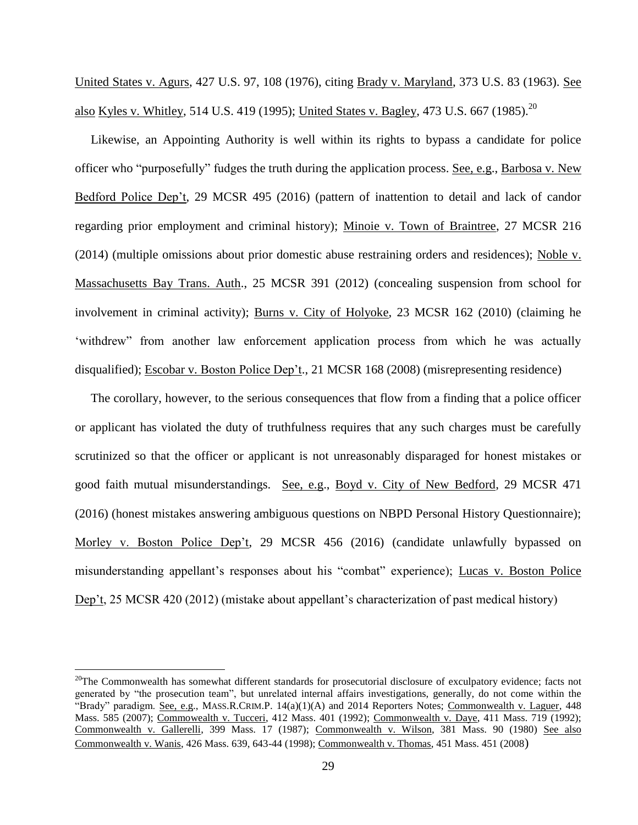United States v. Agurs, 427 U.S. 97, 108 (1976), citing Brady v. Maryland, 373 U.S. 83 (1963). See also Kyles v. Whitley, 514 U.S. 419 (1995); United States v. Bagley, 473 U.S. 667 (1985).<sup>20</sup>

Likewise, an Appointing Authority is well within its rights to bypass a candidate for police officer who "purposefully" fudges the truth during the application process. See, e.g., Barbosa v. New Bedford Police Dep't, 29 MCSR 495 (2016) (pattern of inattention to detail and lack of candor regarding prior employment and criminal history); Minoie v. Town of Braintree, 27 MCSR 216 (2014) (multiple omissions about prior domestic abuse restraining orders and residences); Noble v. Massachusetts Bay Trans. Auth., 25 MCSR 391 (2012) (concealing suspension from school for involvement in criminal activity); Burns v. City of Holyoke, 23 MCSR 162 (2010) (claiming he 'withdrew" from another law enforcement application process from which he was actually disqualified); Escobar v. Boston Police Dep't., 21 MCSR 168 (2008) (misrepresenting residence)

The corollary, however, to the serious consequences that flow from a finding that a police officer or applicant has violated the duty of truthfulness requires that any such charges must be carefully scrutinized so that the officer or applicant is not unreasonably disparaged for honest mistakes or good faith mutual misunderstandings. See, e.g., Boyd v. City of New Bedford, 29 MCSR 471 (2016) (honest mistakes answering ambiguous questions on NBPD Personal History Questionnaire); Morley v. Boston Police Dep't, 29 MCSR 456 (2016) (candidate unlawfully bypassed on misunderstanding appellant's responses about his "combat" experience); Lucas v. Boston Police Dep't, 25 MCSR 420 (2012) (mistake about appellant's characterization of past medical history)

 $^{20}$ The Commonwealth has somewhat different standards for prosecutorial disclosure of exculpatory evidence; facts not generated by "the prosecution team", but unrelated internal affairs investigations, generally, do not come within the "Brady" paradigm. See, e.g., MASS.R.CRIM.P. 14(a)(1)(A) and 2014 Reporters Notes; Commonwealth v. Laguer, 448 Mass. 585 (2007); Commowealth v. Tucceri, 412 Mass. 401 (1992); Commonwealth v. Daye, 411 Mass. 719 (1992); Commonwealth v. Gallerelli, 399 Mass. 17 (1987); Commonwealth v. Wilson, 381 Mass. 90 (1980) See also Commonwealth v. Wanis, 426 Mass. 639, 643-44 (1998); Commonwealth v. Thomas, 451 Mass. 451 (2008)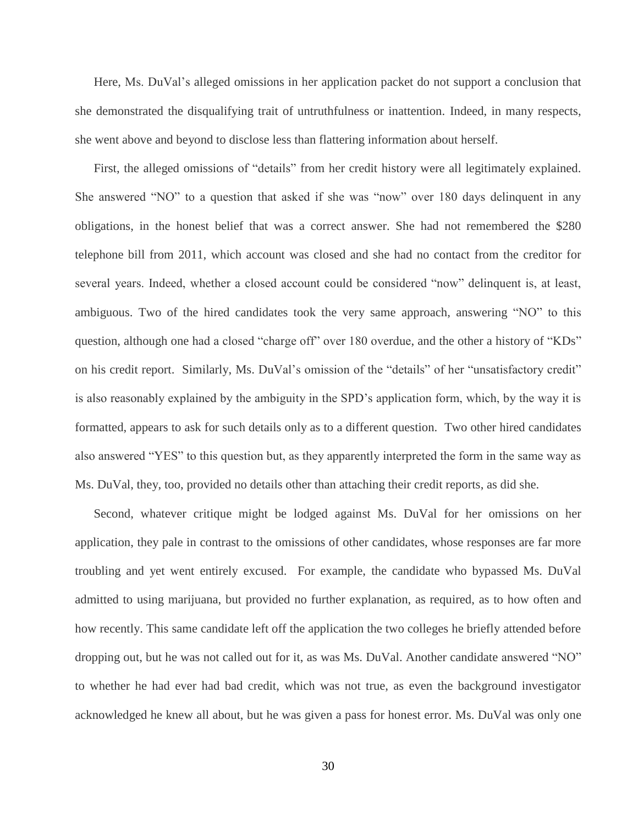Here, Ms. DuVal's alleged omissions in her application packet do not support a conclusion that she demonstrated the disqualifying trait of untruthfulness or inattention. Indeed, in many respects, she went above and beyond to disclose less than flattering information about herself.

First, the alleged omissions of "details" from her credit history were all legitimately explained. She answered "NO" to a question that asked if she was "now" over 180 days delinquent in any obligations, in the honest belief that was a correct answer. She had not remembered the \$280 telephone bill from 2011, which account was closed and she had no contact from the creditor for several years. Indeed, whether a closed account could be considered "now" delinquent is, at least, ambiguous. Two of the hired candidates took the very same approach, answering "NO" to this question, although one had a closed "charge off" over 180 overdue, and the other a history of "KDs" on his credit report. Similarly, Ms. DuVal's omission of the "details" of her "unsatisfactory credit" is also reasonably explained by the ambiguity in the SPD's application form, which, by the way it is formatted, appears to ask for such details only as to a different question. Two other hired candidates also answered "YES" to this question but, as they apparently interpreted the form in the same way as Ms. DuVal, they, too, provided no details other than attaching their credit reports, as did she.

Second, whatever critique might be lodged against Ms. DuVal for her omissions on her application, they pale in contrast to the omissions of other candidates, whose responses are far more troubling and yet went entirely excused. For example, the candidate who bypassed Ms. DuVal admitted to using marijuana, but provided no further explanation, as required, as to how often and how recently. This same candidate left off the application the two colleges he briefly attended before dropping out, but he was not called out for it, as was Ms. DuVal. Another candidate answered "NO" to whether he had ever had bad credit, which was not true, as even the background investigator acknowledged he knew all about, but he was given a pass for honest error. Ms. DuVal was only one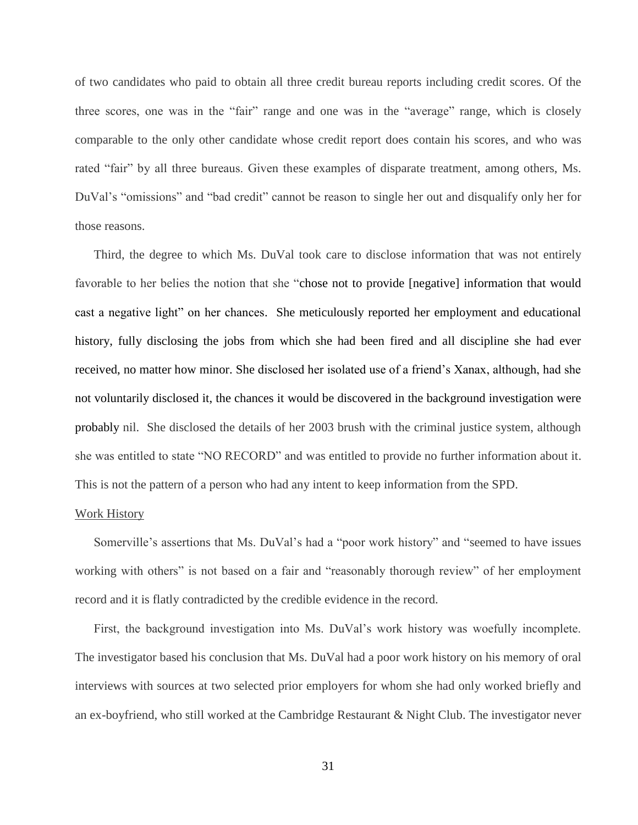of two candidates who paid to obtain all three credit bureau reports including credit scores. Of the three scores, one was in the "fair" range and one was in the "average" range, which is closely comparable to the only other candidate whose credit report does contain his scores, and who was rated "fair" by all three bureaus. Given these examples of disparate treatment, among others, Ms. DuVal's "omissions" and "bad credit" cannot be reason to single her out and disqualify only her for those reasons.

Third, the degree to which Ms. DuVal took care to disclose information that was not entirely favorable to her belies the notion that she "chose not to provide [negative] information that would cast a negative light" on her chances. She meticulously reported her employment and educational history, fully disclosing the jobs from which she had been fired and all discipline she had ever received, no matter how minor. She disclosed her isolated use of a friend's Xanax, although, had she not voluntarily disclosed it, the chances it would be discovered in the background investigation were probably nil. She disclosed the details of her 2003 brush with the criminal justice system, although she was entitled to state "NO RECORD" and was entitled to provide no further information about it. This is not the pattern of a person who had any intent to keep information from the SPD.

#### Work History

Somerville's assertions that Ms. DuVal's had a "poor work history" and "seemed to have issues working with others" is not based on a fair and "reasonably thorough review" of her employment record and it is flatly contradicted by the credible evidence in the record.

First, the background investigation into Ms. DuVal's work history was woefully incomplete. The investigator based his conclusion that Ms. DuVal had a poor work history on his memory of oral interviews with sources at two selected prior employers for whom she had only worked briefly and an ex-boyfriend, who still worked at the Cambridge Restaurant & Night Club. The investigator never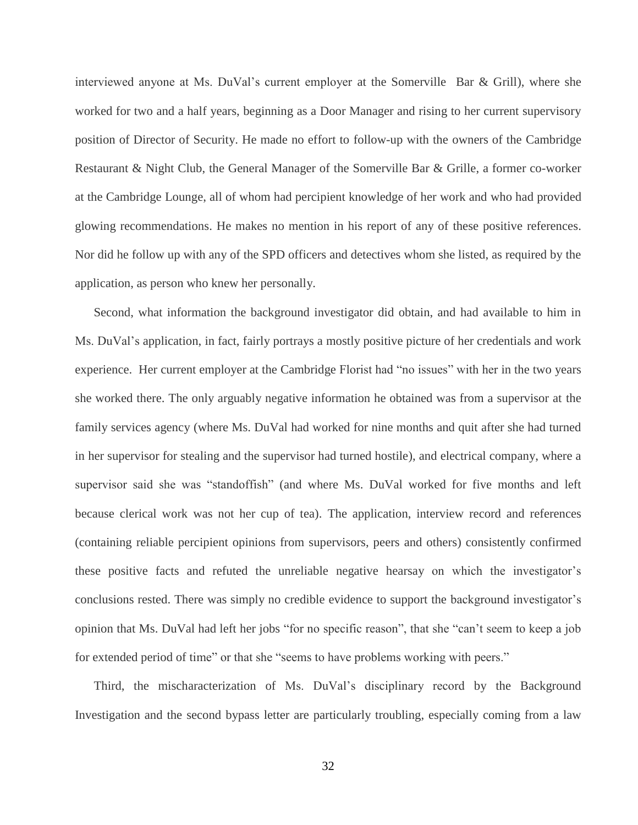interviewed anyone at Ms. DuVal's current employer at the Somerville Bar & Grill), where she worked for two and a half years, beginning as a Door Manager and rising to her current supervisory position of Director of Security. He made no effort to follow-up with the owners of the Cambridge Restaurant & Night Club, the General Manager of the Somerville Bar & Grille, a former co-worker at the Cambridge Lounge, all of whom had percipient knowledge of her work and who had provided glowing recommendations. He makes no mention in his report of any of these positive references. Nor did he follow up with any of the SPD officers and detectives whom she listed, as required by the application, as person who knew her personally.

Second, what information the background investigator did obtain, and had available to him in Ms. DuVal's application, in fact, fairly portrays a mostly positive picture of her credentials and work experience. Her current employer at the Cambridge Florist had "no issues" with her in the two years she worked there. The only arguably negative information he obtained was from a supervisor at the family services agency (where Ms. DuVal had worked for nine months and quit after she had turned in her supervisor for stealing and the supervisor had turned hostile), and electrical company, where a supervisor said she was "standoffish" (and where Ms. DuVal worked for five months and left because clerical work was not her cup of tea). The application, interview record and references (containing reliable percipient opinions from supervisors, peers and others) consistently confirmed these positive facts and refuted the unreliable negative hearsay on which the investigator's conclusions rested. There was simply no credible evidence to support the background investigator's opinion that Ms. DuVal had left her jobs "for no specific reason", that she "can't seem to keep a job for extended period of time" or that she "seems to have problems working with peers."

Third, the mischaracterization of Ms. DuVal's disciplinary record by the Background Investigation and the second bypass letter are particularly troubling, especially coming from a law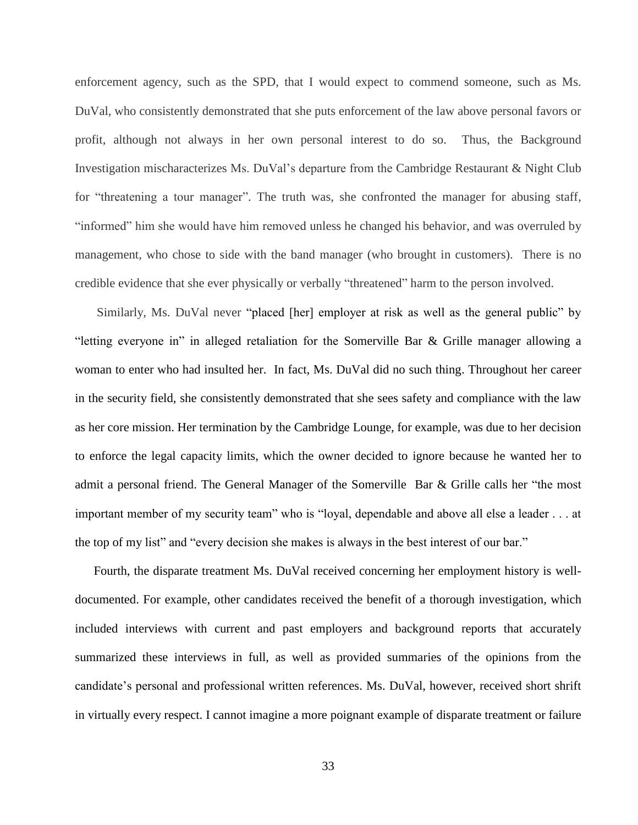enforcement agency, such as the SPD, that I would expect to commend someone, such as Ms. DuVal, who consistently demonstrated that she puts enforcement of the law above personal favors or profit, although not always in her own personal interest to do so. Thus, the Background Investigation mischaracterizes Ms. DuVal's departure from the Cambridge Restaurant & Night Club for "threatening a tour manager". The truth was, she confronted the manager for abusing staff, "informed" him she would have him removed unless he changed his behavior, and was overruled by management, who chose to side with the band manager (who brought in customers). There is no credible evidence that she ever physically or verbally "threatened" harm to the person involved.

Similarly, Ms. DuVal never "placed [her] employer at risk as well as the general public" by "letting everyone in" in alleged retaliation for the Somerville Bar & Grille manager allowing a woman to enter who had insulted her. In fact, Ms. DuVal did no such thing. Throughout her career in the security field, she consistently demonstrated that she sees safety and compliance with the law as her core mission. Her termination by the Cambridge Lounge, for example, was due to her decision to enforce the legal capacity limits, which the owner decided to ignore because he wanted her to admit a personal friend. The General Manager of the Somerville Bar & Grille calls her "the most important member of my security team" who is "loyal, dependable and above all else a leader . . . at the top of my list" and "every decision she makes is always in the best interest of our bar."

Fourth, the disparate treatment Ms. DuVal received concerning her employment history is welldocumented. For example, other candidates received the benefit of a thorough investigation, which included interviews with current and past employers and background reports that accurately summarized these interviews in full, as well as provided summaries of the opinions from the candidate's personal and professional written references. Ms. DuVal, however, received short shrift in virtually every respect. I cannot imagine a more poignant example of disparate treatment or failure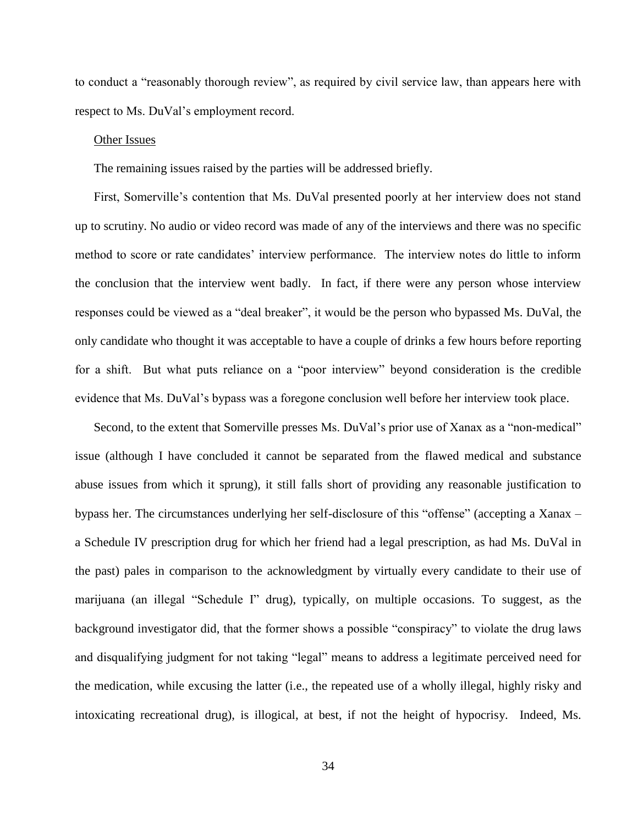to conduct a "reasonably thorough review", as required by civil service law, than appears here with respect to Ms. DuVal's employment record.

#### Other Issues

The remaining issues raised by the parties will be addressed briefly.

First, Somerville's contention that Ms. DuVal presented poorly at her interview does not stand up to scrutiny. No audio or video record was made of any of the interviews and there was no specific method to score or rate candidates' interview performance. The interview notes do little to inform the conclusion that the interview went badly. In fact, if there were any person whose interview responses could be viewed as a "deal breaker", it would be the person who bypassed Ms. DuVal, the only candidate who thought it was acceptable to have a couple of drinks a few hours before reporting for a shift. But what puts reliance on a "poor interview" beyond consideration is the credible evidence that Ms. DuVal's bypass was a foregone conclusion well before her interview took place.

Second, to the extent that Somerville presses Ms. DuVal's prior use of Xanax as a "non-medical" issue (although I have concluded it cannot be separated from the flawed medical and substance abuse issues from which it sprung), it still falls short of providing any reasonable justification to bypass her. The circumstances underlying her self-disclosure of this "offense" (accepting a Xanax – a Schedule IV prescription drug for which her friend had a legal prescription, as had Ms. DuVal in the past) pales in comparison to the acknowledgment by virtually every candidate to their use of marijuana (an illegal "Schedule I" drug), typically, on multiple occasions. To suggest, as the background investigator did, that the former shows a possible "conspiracy" to violate the drug laws and disqualifying judgment for not taking "legal" means to address a legitimate perceived need for the medication, while excusing the latter (i.e., the repeated use of a wholly illegal, highly risky and intoxicating recreational drug), is illogical, at best, if not the height of hypocrisy. Indeed, Ms.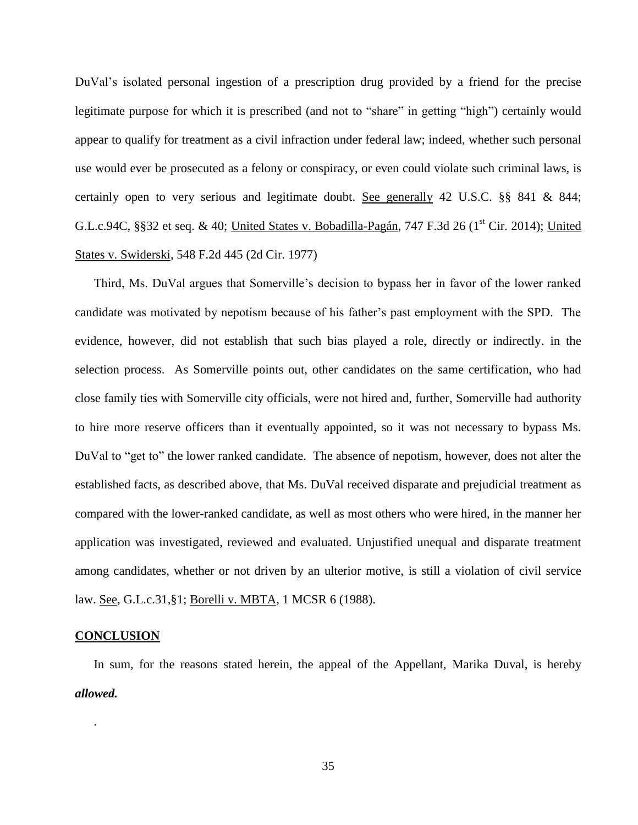DuVal's isolated personal ingestion of a prescription drug provided by a friend for the precise legitimate purpose for which it is prescribed (and not to "share" in getting "high") certainly would appear to qualify for treatment as a civil infraction under federal law; indeed, whether such personal use would ever be prosecuted as a felony or conspiracy, or even could violate such criminal laws, is certainly open to very serious and legitimate doubt. See generally 42 U.S.C. §§ 841 & 844; G.L.c.94C, §§32 et seq. & 40; United States v. Bobadilla-Pagán, 747 F.3d 26 ( $1<sup>st</sup>$  Cir. 2014); United States v. Swiderski, 548 F.2d 445 (2d Cir. 1977)

Third, Ms. DuVal argues that Somerville's decision to bypass her in favor of the lower ranked candidate was motivated by nepotism because of his father's past employment with the SPD. The evidence, however, did not establish that such bias played a role, directly or indirectly. in the selection process. As Somerville points out, other candidates on the same certification, who had close family ties with Somerville city officials, were not hired and, further, Somerville had authority to hire more reserve officers than it eventually appointed, so it was not necessary to bypass Ms. DuVal to "get to" the lower ranked candidate. The absence of nepotism, however, does not alter the established facts, as described above, that Ms. DuVal received disparate and prejudicial treatment as compared with the lower-ranked candidate, as well as most others who were hired, in the manner her application was investigated, reviewed and evaluated. Unjustified unequal and disparate treatment among candidates, whether or not driven by an ulterior motive, is still a violation of civil service law. See, G.L.c.31,§1; Borelli v. MBTA, 1 MCSR 6 (1988).

#### **CONCLUSION**

.

In sum, for the reasons stated herein, the appeal of the Appellant, Marika Duval, is hereby *allowed.*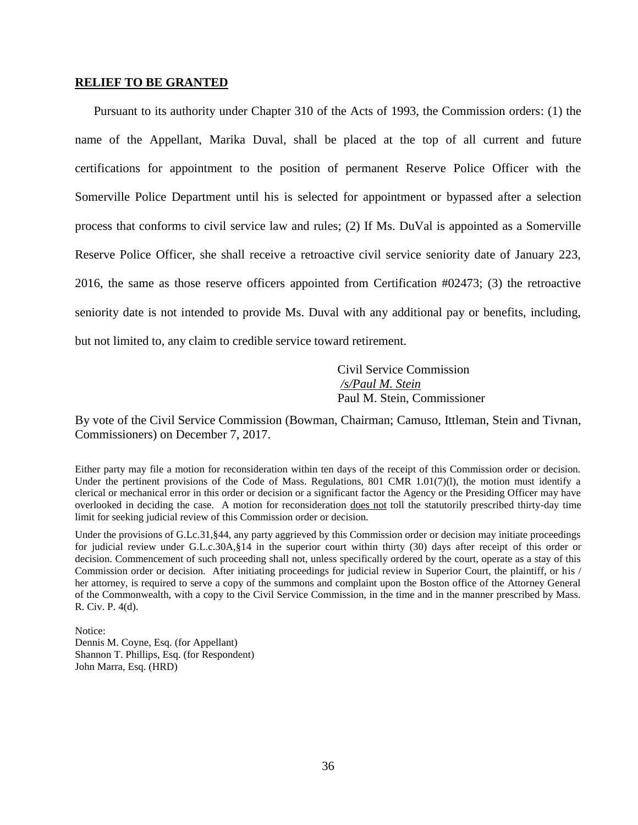#### **RELIEF TO BE GRANTED**

Pursuant to its authority under Chapter 310 of the Acts of 1993, the Commission orders: (1) the name of the Appellant, Marika Duval, shall be placed at the top of all current and future certifications for appointment to the position of permanent Reserve Police Officer with the Somerville Police Department until his is selected for appointment or bypassed after a selection process that conforms to civil service law and rules; (2) If Ms. DuVal is appointed as a Somerville Reserve Police Officer, she shall receive a retroactive civil service seniority date of January 223, 2016, the same as those reserve officers appointed from Certification #02473; (3) the retroactive seniority date is not intended to provide Ms. Duval with any additional pay or benefits, including, but not limited to, any claim to credible service toward retirement.

> Civil Service Commission */s/Paul M. Stein*  Paul M. Stein, Commissioner

By vote of the Civil Service Commission (Bowman, Chairman; Camuso, Ittleman, Stein and Tivnan, Commissioners) on December 7, 2017.

Either party may file a motion for reconsideration within ten days of the receipt of this Commission order or decision. Under the pertinent provisions of the Code of Mass. Regulations, 801 CMR 1.01(7)(1), the motion must identify a clerical or mechanical error in this order or decision or a significant factor the Agency or the Presiding Officer may have overlooked in deciding the case. A motion for reconsideration does not toll the statutorily prescribed thirty-day time limit for seeking judicial review of this Commission order or decision.

Under the provisions of G.Lc.31, §44, any party aggrieved by this Commission order or decision may initiate proceedings for judicial review under G.L.c.30A,§14 in the superior court within thirty (30) days after receipt of this order or decision. Commencement of such proceeding shall not, unless specifically ordered by the court, operate as a stay of this Commission order or decision. After initiating proceedings for judicial review in Superior Court, the plaintiff, or his / her attorney, is required to serve a copy of the summons and complaint upon the Boston office of the Attorney General of the Commonwealth, with a copy to the Civil Service Commission, in the time and in the manner prescribed by Mass. R. Civ. P. 4(d).

Notice: Dennis M. Coyne, Esq. (for Appellant) Shannon T. Phillips, Esq. (for Respondent) John Marra, Esq. (HRD)